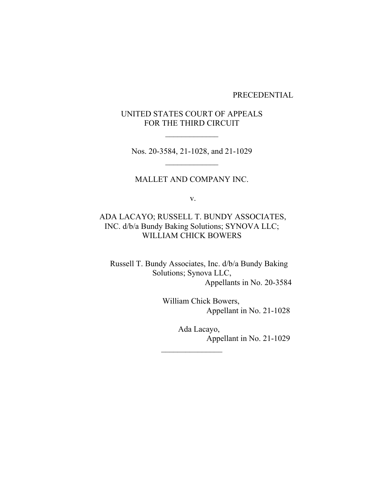PRECEDENTIAL

# UNITED STATES COURT OF APPEALS FOR THE THIRD CIRCUIT

Nos. 20-3584, 21-1028, and 21-1029

## MALLET AND COMPANY INC.

v.

# ADA LACAYO; RUSSELL T. BUNDY ASSOCIATES, INC. d/b/a Bundy Baking Solutions; SYNOVA LLC; WILLIAM CHICK BOWERS

 Russell T. Bundy Associates, Inc. d/b/a Bundy Baking Solutions; Synova LLC, Appellants in No. 20-3584

> William Chick Bowers, Appellant in No. 21-1028

> > Ada Lacayo, Appellant in No. 21-1029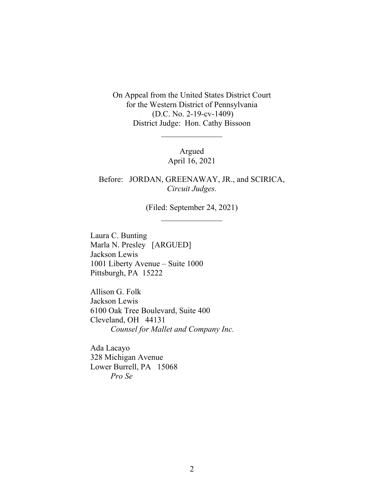On Appeal from the United States District Court for the Western District of Pennsylvania (D.C. No. 2-19-cv-1409) District Judge: Hon. Cathy Bissoon

> Argued April 16, 2021

Before: JORDAN, GREENAWAY, JR., and SCIRICA, *Circuit Judges.*

> (Filed: September 24, 2021)  $\frac{1}{2}$

Laura C. Bunting Marla N. Presley [ARGUED] Jackson Lewis 1001 Liberty Avenue – Suite 1000 Pittsburgh, PA 15222

Allison G. Folk Jackson Lewis 6100 Oak Tree Boulevard, Suite 400 Cleveland, OH 44131 *Counsel for Mallet and Company Inc.*

Ada Lacayo 328 Michigan Avenue Lower Burrell, PA 15068 *Pro Se*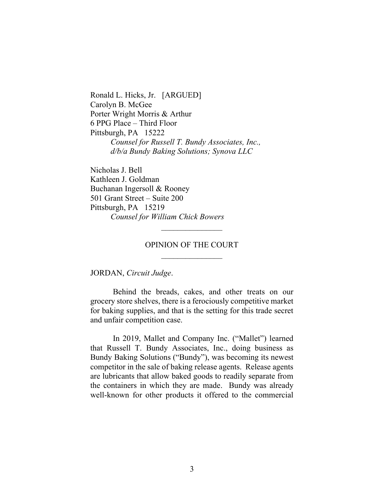Ronald L. Hicks, Jr. [ARGUED] Carolyn B. McGee Porter Wright Morris & Arthur 6 PPG Place – Third Floor Pittsburgh, PA 15222 *Counsel for Russell T. Bundy Associates, Inc., d/b/a Bundy Baking Solutions; Synova LLC*

Nicholas J. Bell Kathleen J. Goldman Buchanan Ingersoll & Rooney 501 Grant Street – Suite 200 Pittsburgh, PA 15219 *Counsel for William Chick Bowers*

# OPINION OF THE COURT  $\frac{1}{2}$

 $\frac{1}{2}$ 

JORDAN, *Circuit Judge*.

Behind the breads, cakes, and other treats on our grocery store shelves, there is a ferociously competitive market for baking supplies, and that is the setting for this trade secret and unfair competition case.

In 2019, Mallet and Company Inc. ("Mallet") learned that Russell T. Bundy Associates, Inc., doing business as Bundy Baking Solutions ("Bundy"), was becoming its newest competitor in the sale of baking release agents. Release agents are lubricants that allow baked goods to readily separate from the containers in which they are made. Bundy was already well-known for other products it offered to the commercial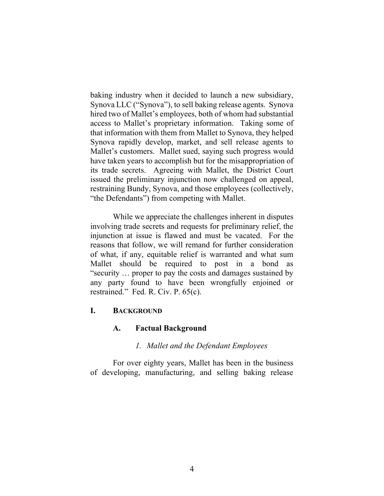baking industry when it decided to launch a new subsidiary, Synova LLC ("Synova"), to sell baking release agents. Synova hired two of Mallet's employees, both of whom had substantial access to Mallet's proprietary information. Taking some of that information with them from Mallet to Synova, they helped Synova rapidly develop, market, and sell release agents to Mallet's customers. Mallet sued, saying such progress would have taken years to accomplish but for the misappropriation of its trade secrets. Agreeing with Mallet, the District Court issued the preliminary injunction now challenged on appeal, restraining Bundy, Synova, and those employees (collectively, "the Defendants") from competing with Mallet.

While we appreciate the challenges inherent in disputes involving trade secrets and requests for preliminary relief, the injunction at issue is flawed and must be vacated. For the reasons that follow, we will remand for further consideration of what, if any, equitable relief is warranted and what sum Mallet should be required to post in a bond as "security … proper to pay the costs and damages sustained by any party found to have been wrongfully enjoined or restrained." Fed. R. Civ. P. 65(c).

## **I. BACKGROUND**

### **A. Factual Background**

### *1. Mallet and the Defendant Employees*

For over eighty years, Mallet has been in the business of developing, manufacturing, and selling baking release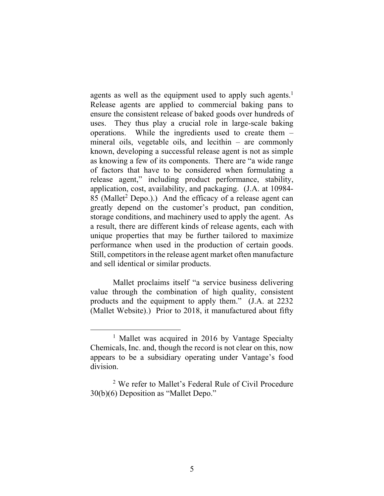agents as well as the equipment used to apply such agents.<sup>1</sup> Release agents are applied to commercial baking pans to ensure the consistent release of baked goods over hundreds of uses. They thus play a crucial role in large-scale baking operations. While the ingredients used to create them – mineral oils, vegetable oils, and lecithin – are commonly known, developing a successful release agent is not as simple as knowing a few of its components. There are "a wide range of factors that have to be considered when formulating a release agent," including product performance, stability, application, cost, availability, and packaging. (J.A. at 10984- 85 (Mallet<sup>2</sup> Depo.).) And the efficacy of a release agent can greatly depend on the customer's product, pan condition, storage conditions, and machinery used to apply the agent. As a result, there are different kinds of release agents, each with unique properties that may be further tailored to maximize performance when used in the production of certain goods. Still, competitors in the release agent market often manufacture and sell identical or similar products.

Mallet proclaims itself "a service business delivering value through the combination of high quality, consistent products and the equipment to apply them." (J.A. at 2232 (Mallet Website).) Prior to 2018, it manufactured about fifty

<sup>&</sup>lt;sup>1</sup> Mallet was acquired in 2016 by Vantage Specialty Chemicals, Inc. and, though the record is not clear on this, now appears to be a subsidiary operating under Vantage's food division.

<sup>2</sup> We refer to Mallet's Federal Rule of Civil Procedure 30(b)(6) Deposition as "Mallet Depo."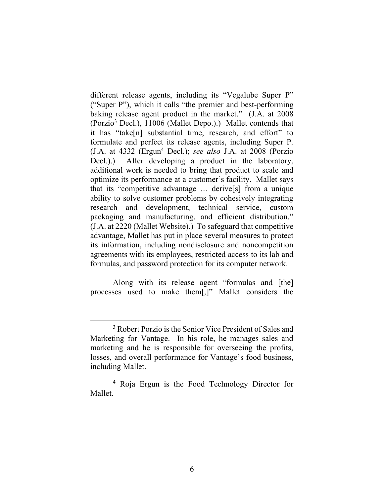different release agents, including its "Vegalube Super P" ("Super P"), which it calls "the premier and best-performing baking release agent product in the market." (J.A. at 2008 (Porzio3 Decl.), 11006 (Mallet Depo.).) Mallet contends that it has "take[n] substantial time, research, and effort" to formulate and perfect its release agents, including Super P. (J.A. at 4332 (Ergun4 Decl.); *see also* J.A. at 2008 (Porzio Decl.).) After developing a product in the laboratory, additional work is needed to bring that product to scale and optimize its performance at a customer's facility. Mallet says that its "competitive advantage … derive[s] from a unique ability to solve customer problems by cohesively integrating research and development, technical service, custom packaging and manufacturing, and efficient distribution." (J.A. at 2220 (Mallet Website).) To safeguard that competitive advantage, Mallet has put in place several measures to protect its information, including nondisclosure and noncompetition agreements with its employees, restricted access to its lab and formulas, and password protection for its computer network.

Along with its release agent "formulas and [the] processes used to make them[,]" Mallet considers the

<sup>&</sup>lt;sup>3</sup> Robert Porzio is the Senior Vice President of Sales and Marketing for Vantage. In his role, he manages sales and marketing and he is responsible for overseeing the profits, losses, and overall performance for Vantage's food business, including Mallet.

<sup>4</sup> Roja Ergun is the Food Technology Director for Mallet.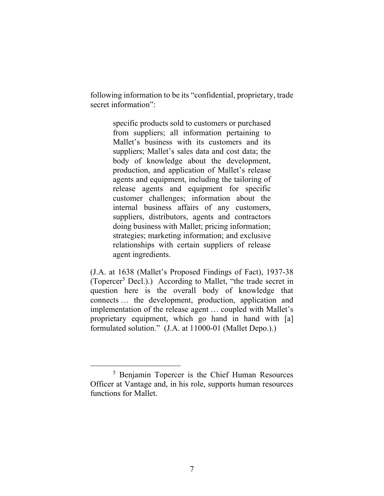following information to be its "confidential, proprietary, trade secret information":

> specific products sold to customers or purchased from suppliers; all information pertaining to Mallet's business with its customers and its suppliers; Mallet's sales data and cost data; the body of knowledge about the development, production, and application of Mallet's release agents and equipment, including the tailoring of release agents and equipment for specific customer challenges; information about the internal business affairs of any customers, suppliers, distributors, agents and contractors doing business with Mallet; pricing information; strategies; marketing information; and exclusive relationships with certain suppliers of release agent ingredients.

(J.A. at 1638 (Mallet's Proposed Findings of Fact), 1937-38 (Topercer<sup>5</sup> Decl.).) According to Mallet, "the trade secret in question here is the overall body of knowledge that connects … the development, production, application and implementation of the release agent … coupled with Mallet's proprietary equipment, which go hand in hand with [a] formulated solution." (J.A. at 11000-01 (Mallet Depo.).)

<sup>5</sup> Benjamin Topercer is the Chief Human Resources Officer at Vantage and, in his role, supports human resources functions for Mallet.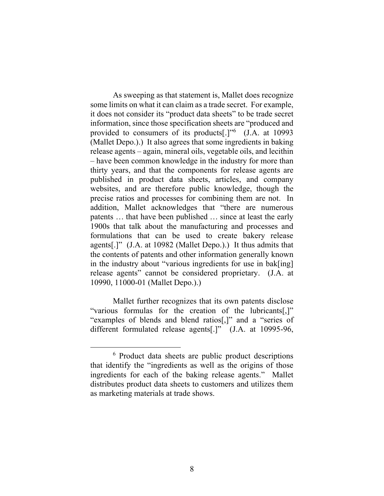As sweeping as that statement is, Mallet does recognize some limits on what it can claim as a trade secret. For example, it does not consider its "product data sheets" to be trade secret information, since those specification sheets are "produced and provided to consumers of its products[.]"<sup>6</sup> (J.A. at 10993 (Mallet Depo.).) It also agrees that some ingredients in baking release agents – again, mineral oils, vegetable oils, and lecithin – have been common knowledge in the industry for more than thirty years, and that the components for release agents are published in product data sheets, articles, and company websites, and are therefore public knowledge, though the precise ratios and processes for combining them are not. In addition, Mallet acknowledges that "there are numerous patents … that have been published … since at least the early 1900s that talk about the manufacturing and processes and formulations that can be used to create bakery release agents[.]" (J.A. at 10982 (Mallet Depo.).) It thus admits that the contents of patents and other information generally known in the industry about "various ingredients for use in bak[ing] release agents" cannot be considered proprietary. (J.A. at 10990, 11000-01 (Mallet Depo.).)

Mallet further recognizes that its own patents disclose "various formulas for the creation of the lubricants[,]" "examples of blends and blend ratios[,]" and a "series of different formulated release agents[.]" (J.A. at 10995-96,

<sup>6</sup> Product data sheets are public product descriptions that identify the "ingredients as well as the origins of those ingredients for each of the baking release agents." Mallet distributes product data sheets to customers and utilizes them as marketing materials at trade shows.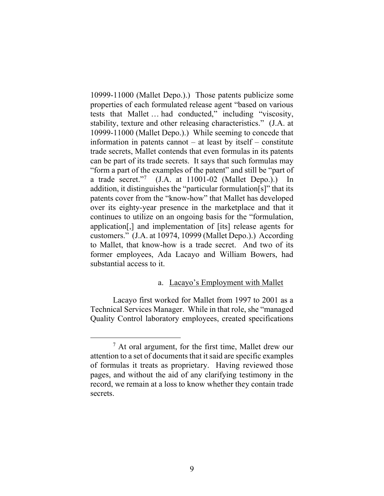10999-11000 (Mallet Depo.).) Those patents publicize some properties of each formulated release agent "based on various tests that Mallet … had conducted," including "viscosity, stability, texture and other releasing characteristics." (J.A. at 10999-11000 (Mallet Depo.).) While seeming to concede that information in patents cannot – at least by itself – constitute trade secrets, Mallet contends that even formulas in its patents can be part of its trade secrets. It says that such formulas may "form a part of the examples of the patent" and still be "part of a trade secret."<sup>7</sup> (J.A. at 11001-02 (Mallet Depo.).) In addition, it distinguishes the "particular formulation[s]" that its patents cover from the "know-how" that Mallet has developed over its eighty-year presence in the marketplace and that it continues to utilize on an ongoing basis for the "formulation, application[,] and implementation of [its] release agents for customers." (J.A. at 10974, 10999 (Mallet Depo.).) According to Mallet, that know-how is a trade secret. And two of its former employees, Ada Lacayo and William Bowers, had substantial access to it.

### a. Lacayo's Employment with Mallet

Lacayo first worked for Mallet from 1997 to 2001 as a Technical Services Manager. While in that role, she "managed Quality Control laboratory employees, created specifications

 $<sup>7</sup>$  At oral argument, for the first time, Mallet drew our</sup> attention to a set of documents that it said are specific examples of formulas it treats as proprietary. Having reviewed those pages, and without the aid of any clarifying testimony in the record, we remain at a loss to know whether they contain trade secrets.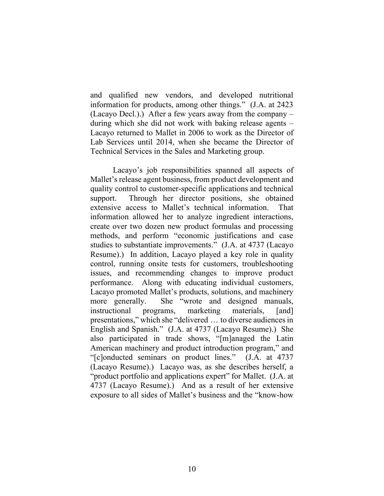and qualified new vendors, and developed nutritional information for products, among other things." (J.A. at 2423 (Lacayo Decl.).) After a few years away from the company – during which she did not work with baking release agents – Lacayo returned to Mallet in 2006 to work as the Director of Lab Services until 2014, when she became the Director of Technical Services in the Sales and Marketing group.

Lacayo's job responsibilities spanned all aspects of Mallet's release agent business, from product development and quality control to customer-specific applications and technical support. Through her director positions, she obtained extensive access to Mallet's technical information. That information allowed her to analyze ingredient interactions, create over two dozen new product formulas and processing methods, and perform "economic justifications and case studies to substantiate improvements." (J.A. at 4737 (Lacayo Resume).) In addition, Lacayo played a key role in quality control, running onsite tests for customers, troubleshooting issues, and recommending changes to improve product performance. Along with educating individual customers, Lacayo promoted Mallet's products, solutions, and machinery more generally. She "wrote and designed manuals, instructional programs, marketing materials, [and] presentations," which she "delivered … to diverse audiences in English and Spanish." (J.A. at 4737 (Lacayo Resume).) She also participated in trade shows, "[m]anaged the Latin American machinery and product introduction program," and "[c]onducted seminars on product lines." (J.A. at 4737 (Lacayo Resume).) Lacayo was, as she describes herself, a "product portfolio and applications expert" for Mallet. (J.A. at 4737 (Lacayo Resume).) And as a result of her extensive exposure to all sides of Mallet's business and the "know-how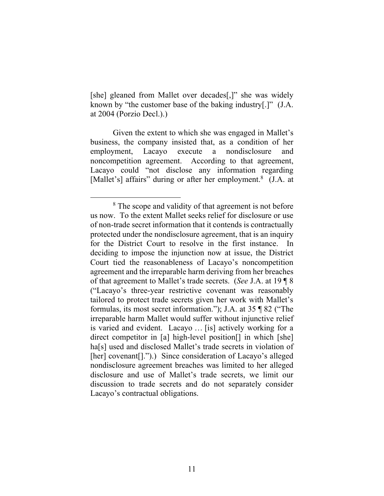[she] gleaned from Mallet over decades[,]" she was widely known by "the customer base of the baking industry[.]" (J.A. at 2004 (Porzio Decl.).)

Given the extent to which she was engaged in Mallet's business, the company insisted that, as a condition of her employment, Lacayo execute a nondisclosure and noncompetition agreement. According to that agreement, Lacayo could "not disclose any information regarding [Mallet's] affairs" during or after her employment.<sup>8</sup> (J.A. at

<sup>&</sup>lt;sup>8</sup> The scope and validity of that agreement is not before us now. To the extent Mallet seeks relief for disclosure or use of non-trade secret information that it contends is contractually protected under the nondisclosure agreement, that is an inquiry for the District Court to resolve in the first instance. In deciding to impose the injunction now at issue, the District Court tied the reasonableness of Lacayo's noncompetition agreement and the irreparable harm deriving from her breaches of that agreement to Mallet's trade secrets. (*See* J.A. at 19 ¶ 8 ("Lacayo's three-year restrictive covenant was reasonably tailored to protect trade secrets given her work with Mallet's formulas, its most secret information."); J.A. at 35 ¶ 82 ("The irreparable harm Mallet would suffer without injunctive relief is varied and evident. Lacayo … [is] actively working for a direct competitor in [a] high-level position[] in which [she] ha<sup>[s]</sup> used and disclosed Mallet's trade secrets in violation of [her] covenant[].").) Since consideration of Lacayo's alleged nondisclosure agreement breaches was limited to her alleged disclosure and use of Mallet's trade secrets, we limit our discussion to trade secrets and do not separately consider Lacayo's contractual obligations.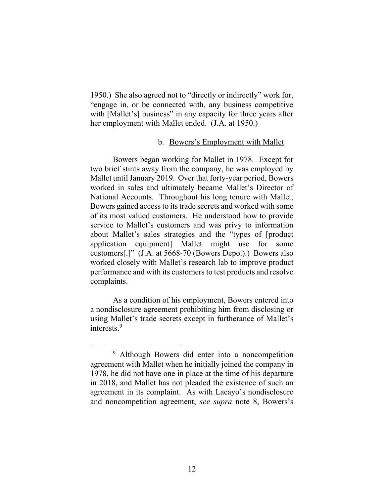1950.) She also agreed not to "directly or indirectly" work for, "engage in, or be connected with, any business competitive with [Mallet's] business" in any capacity for three years after her employment with Mallet ended. (J.A. at 1950.)

### b. Bowers's Employment with Mallet

Bowers began working for Mallet in 1978. Except for two brief stints away from the company, he was employed by Mallet until January 2019. Over that forty-year period, Bowers worked in sales and ultimately became Mallet's Director of National Accounts. Throughout his long tenure with Mallet, Bowers gained access to its trade secrets and worked with some of its most valued customers. He understood how to provide service to Mallet's customers and was privy to information about Mallet's sales strategies and the "types of [product application equipment] Mallet might use for some customers[.]" (J.A. at 5668-70 (Bowers Depo.).) Bowers also worked closely with Mallet's research lab to improve product performance and with its customers to test products and resolve complaints.

As a condition of his employment, Bowers entered into a nondisclosure agreement prohibiting him from disclosing or using Mallet's trade secrets except in furtherance of Mallet's interests. 9

<sup>9</sup> Although Bowers did enter into a noncompetition agreement with Mallet when he initially joined the company in 1978, he did not have one in place at the time of his departure in 2018, and Mallet has not pleaded the existence of such an agreement in its complaint. As with Lacayo's nondisclosure and noncompetition agreement, *see supra* note 8, Bowers's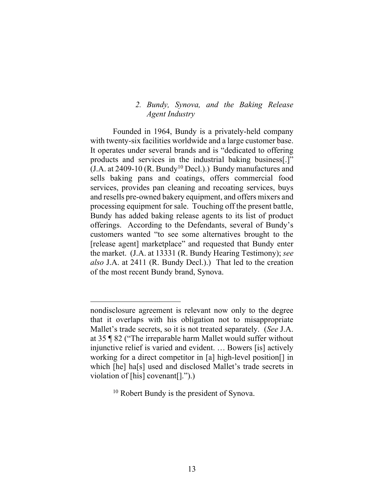## *2. Bundy, Synova, and the Baking Release Agent Industry*

Founded in 1964, Bundy is a privately-held company with twenty-six facilities worldwide and a large customer base. It operates under several brands and is "dedicated to offering products and services in the industrial baking business[.]"  $(J.A. at 2409-10 (R. Bundy<sup>10</sup> Decl.).$  Bundy manufactures and sells baking pans and coatings, offers commercial food services, provides pan cleaning and recoating services, buys and resells pre-owned bakery equipment, and offers mixers and processing equipment for sale. Touching off the present battle, Bundy has added baking release agents to its list of product offerings. According to the Defendants, several of Bundy's customers wanted "to see some alternatives brought to the [release agent] marketplace" and requested that Bundy enter the market. (J.A. at 13331 (R. Bundy Hearing Testimony); *see also* J.A. at 2411 (R. Bundy Decl.).) That led to the creation of the most recent Bundy brand, Synova.

nondisclosure agreement is relevant now only to the degree that it overlaps with his obligation not to misappropriate Mallet's trade secrets, so it is not treated separately. (*See* J.A. at 35 ¶ 82 ("The irreparable harm Mallet would suffer without injunctive relief is varied and evident. … Bowers [is] actively working for a direct competitor in [a] high-level position[] in which [he] ha[s] used and disclosed Mallet's trade secrets in violation of [his] covenant[].").)

<sup>10</sup> Robert Bundy is the president of Synova.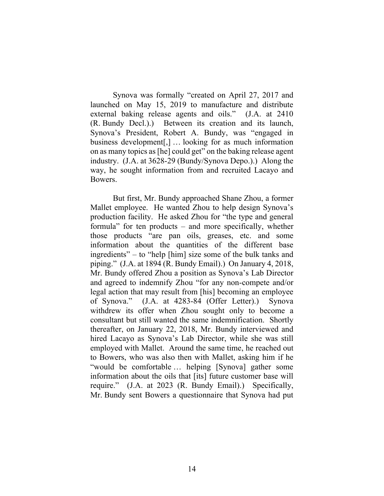Synova was formally "created on April 27, 2017 and launched on May 15, 2019 to manufacture and distribute external baking release agents and oils." (J.A. at 2410 (R. Bundy Decl.).) Between its creation and its launch, Synova's President, Robert A. Bundy, was "engaged in business development[,] … looking for as much information on as many topics as [he] could get" on the baking release agent industry. (J.A. at 3628-29 (Bundy/Synova Depo.).) Along the way, he sought information from and recruited Lacayo and Bowers.

But first, Mr. Bundy approached Shane Zhou, a former Mallet employee. He wanted Zhou to help design Synova's production facility. He asked Zhou for "the type and general formula" for ten products – and more specifically, whether those products "are pan oils, greases, etc. and some information about the quantities of the different base ingredients" – to "help [him] size some of the bulk tanks and piping." (J.A. at 1894 (R. Bundy Email).) On January 4, 2018, Mr. Bundy offered Zhou a position as Synova's Lab Director and agreed to indemnify Zhou "for any non-compete and/or legal action that may result from [his] becoming an employee of Synova." (J.A. at 4283-84 (Offer Letter).) Synova withdrew its offer when Zhou sought only to become a consultant but still wanted the same indemnification. Shortly thereafter, on January 22, 2018, Mr. Bundy interviewed and hired Lacayo as Synova's Lab Director, while she was still employed with Mallet. Around the same time, he reached out to Bowers, who was also then with Mallet, asking him if he "would be comfortable … helping [Synova] gather some information about the oils that [its] future customer base will require." (J.A. at 2023 (R. Bundy Email).) Specifically, Mr. Bundy sent Bowers a questionnaire that Synova had put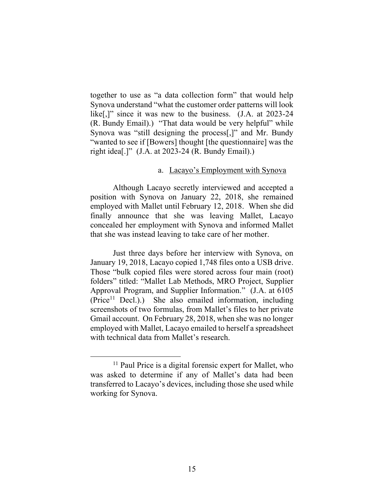together to use as "a data collection form" that would help Synova understand "what the customer order patterns will look like[,]" since it was new to the business. (J.A. at 2023-24) (R. Bundy Email).) "That data would be very helpful" while Synova was "still designing the process[,]" and Mr. Bundy "wanted to see if [Bowers] thought [the questionnaire] was the right idea[.]" (J.A. at 2023-24 (R. Bundy Email).)

### a. Lacayo's Employment with Synova

Although Lacayo secretly interviewed and accepted a position with Synova on January 22, 2018, she remained employed with Mallet until February 12, 2018. When she did finally announce that she was leaving Mallet, Lacayo concealed her employment with Synova and informed Mallet that she was instead leaving to take care of her mother.

Just three days before her interview with Synova, on January 19, 2018, Lacayo copied 1,748 files onto a USB drive. Those "bulk copied files were stored across four main (root) folders" titled: "Mallet Lab Methods, MRO Project, Supplier Approval Program, and Supplier Information." (J.A. at 6105  $(Price<sup>11</sup> Decl.).)$  She also emailed information, including screenshots of two formulas, from Mallet's files to her private Gmail account. On February 28, 2018, when she was no longer employed with Mallet, Lacayo emailed to herself a spreadsheet with technical data from Mallet's research.

<sup>&</sup>lt;sup>11</sup> Paul Price is a digital forensic expert for Mallet, who was asked to determine if any of Mallet's data had been transferred to Lacayo's devices, including those she used while working for Synova.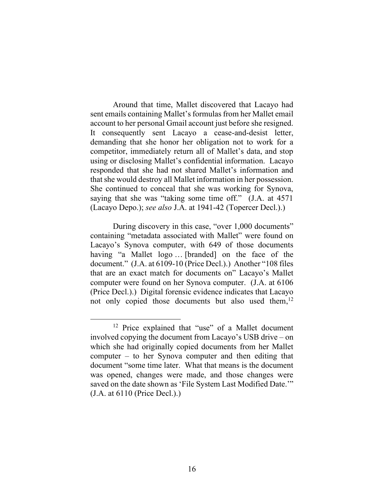Around that time, Mallet discovered that Lacayo had sent emails containing Mallet's formulas from her Mallet email account to her personal Gmail account just before she resigned. It consequently sent Lacayo a cease-and-desist letter, demanding that she honor her obligation not to work for a competitor, immediately return all of Mallet's data, and stop using or disclosing Mallet's confidential information. Lacayo responded that she had not shared Mallet's information and that she would destroy all Mallet information in her possession. She continued to conceal that she was working for Synova, saying that she was "taking some time off." (J.A. at 4571 (Lacayo Depo.); *see also* J.A. at 1941-42 (Topercer Decl.).)

During discovery in this case, "over 1,000 documents" containing "metadata associated with Mallet" were found on Lacayo's Synova computer, with 649 of those documents having "a Mallet logo ... [branded] on the face of the document." (J.A. at 6109-10 (Price Decl.).) Another "108 files that are an exact match for documents on" Lacayo's Mallet computer were found on her Synova computer. (J.A. at 6106 (Price Decl.).) Digital forensic evidence indicates that Lacayo not only copied those documents but also used them,<sup>12</sup>

<sup>&</sup>lt;sup>12</sup> Price explained that "use" of a Mallet document involved copying the document from Lacayo's USB drive – on which she had originally copied documents from her Mallet computer – to her Synova computer and then editing that document "some time later. What that means is the document was opened, changes were made, and those changes were saved on the date shown as 'File System Last Modified Date.'" (J.A. at 6110 (Price Decl.).)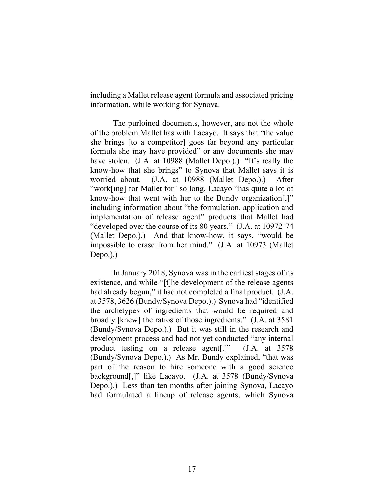including a Mallet release agent formula and associated pricing information, while working for Synova.

The purloined documents, however, are not the whole of the problem Mallet has with Lacayo. It says that "the value she brings [to a competitor] goes far beyond any particular formula she may have provided" or any documents she may have stolen. (J.A. at 10988 (Mallet Depo.).) "It's really the know-how that she brings" to Synova that Mallet says it is worried about. (J.A. at 10988 (Mallet Depo.).) After "work[ing] for Mallet for" so long, Lacayo "has quite a lot of know-how that went with her to the Bundy organization[,]" including information about "the formulation, application and implementation of release agent" products that Mallet had "developed over the course of its 80 years." (J.A. at 10972-74 (Mallet Depo.).) And that know-how, it says, "would be impossible to erase from her mind." (J.A. at 10973 (Mallet Depo.).)

In January 2018, Synova was in the earliest stages of its existence, and while "[t]he development of the release agents had already begun," it had not completed a final product. (J.A. at 3578, 3626 (Bundy/Synova Depo.).) Synova had "identified the archetypes of ingredients that would be required and broadly [knew] the ratios of those ingredients." (J.A. at 3581 (Bundy/Synova Depo.).) But it was still in the research and development process and had not yet conducted "any internal product testing on a release agent[.]" (J.A. at 3578 (Bundy/Synova Depo.).) As Mr. Bundy explained, "that was part of the reason to hire someone with a good science background[,]" like Lacayo. (J.A. at 3578 (Bundy/Synova Depo.).) Less than ten months after joining Synova, Lacayo had formulated a lineup of release agents, which Synova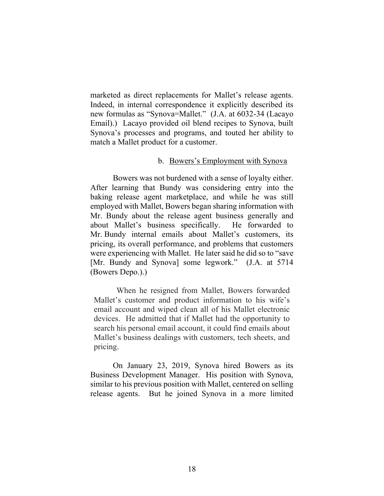marketed as direct replacements for Mallet's release agents. Indeed, in internal correspondence it explicitly described its new formulas as "Synova=Mallet." (J.A. at 6032-34 (Lacayo Email).) Lacayo provided oil blend recipes to Synova, built Synova's processes and programs, and touted her ability to match a Mallet product for a customer.

### b. Bowers's Employment with Synova

Bowers was not burdened with a sense of loyalty either. After learning that Bundy was considering entry into the baking release agent marketplace, and while he was still employed with Mallet, Bowers began sharing information with Mr. Bundy about the release agent business generally and about Mallet's business specifically. He forwarded to Mr. Bundy internal emails about Mallet's customers, its pricing, its overall performance, and problems that customers were experiencing with Mallet. He later said he did so to "save [Mr. Bundy and Synova] some legwork." (J.A. at 5714 (Bowers Depo.).)

When he resigned from Mallet, Bowers forwarded Mallet's customer and product information to his wife's email account and wiped clean all of his Mallet electronic devices. He admitted that if Mallet had the opportunity to search his personal email account, it could find emails about Mallet's business dealings with customers, tech sheets, and pricing.

On January 23, 2019, Synova hired Bowers as its Business Development Manager. His position with Synova, similar to his previous position with Mallet, centered on selling release agents. But he joined Synova in a more limited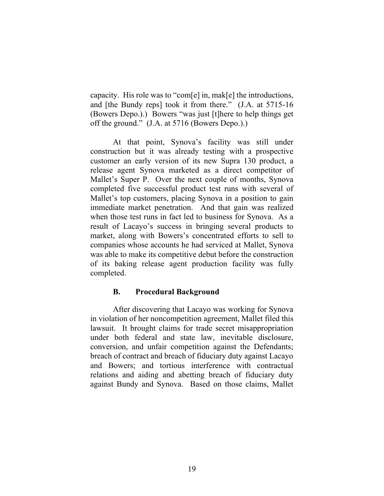capacity. His role was to "com[e] in, mak[e] the introductions, and [the Bundy reps] took it from there." (J.A. at 5715-16 (Bowers Depo.).) Bowers "was just [t]here to help things get off the ground." (J.A. at 5716 (Bowers Depo.).)

At that point, Synova's facility was still under construction but it was already testing with a prospective customer an early version of its new Supra 130 product, a release agent Synova marketed as a direct competitor of Mallet's Super P. Over the next couple of months, Synova completed five successful product test runs with several of Mallet's top customers, placing Synova in a position to gain immediate market penetration. And that gain was realized when those test runs in fact led to business for Synova. As a result of Lacayo's success in bringing several products to market, along with Bowers's concentrated efforts to sell to companies whose accounts he had serviced at Mallet, Synova was able to make its competitive debut before the construction of its baking release agent production facility was fully completed.

## **B. Procedural Background**

After discovering that Lacayo was working for Synova in violation of her noncompetition agreement, Mallet filed this lawsuit. It brought claims for trade secret misappropriation under both federal and state law, inevitable disclosure, conversion, and unfair competition against the Defendants; breach of contract and breach of fiduciary duty against Lacayo and Bowers; and tortious interference with contractual relations and aiding and abetting breach of fiduciary duty against Bundy and Synova. Based on those claims, Mallet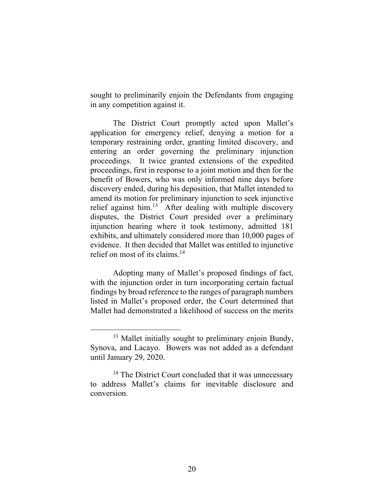sought to preliminarily enjoin the Defendants from engaging in any competition against it.

The District Court promptly acted upon Mallet's application for emergency relief, denying a motion for a temporary restraining order, granting limited discovery, and entering an order governing the preliminary injunction proceedings. It twice granted extensions of the expedited proceedings, first in response to a joint motion and then for the benefit of Bowers, who was only informed nine days before discovery ended, during his deposition, that Mallet intended to amend its motion for preliminary injunction to seek injunctive relief against him.<sup>13</sup> After dealing with multiple discovery disputes, the District Court presided over a preliminary injunction hearing where it took testimony, admitted 181 exhibits, and ultimately considered more than 10,000 pages of evidence. It then decided that Mallet was entitled to injunctive relief on most of its claims. 14

Adopting many of Mallet's proposed findings of fact, with the injunction order in turn incorporating certain factual findings by broad reference to the ranges of paragraph numbers listed in Mallet's proposed order, the Court determined that Mallet had demonstrated a likelihood of success on the merits

<sup>&</sup>lt;sup>13</sup> Mallet initially sought to preliminary enjoin Bundy, Synova, and Lacayo. Bowers was not added as a defendant until January 29, 2020.

<sup>&</sup>lt;sup>14</sup> The District Court concluded that it was unnecessary to address Mallet's claims for inevitable disclosure and conversion.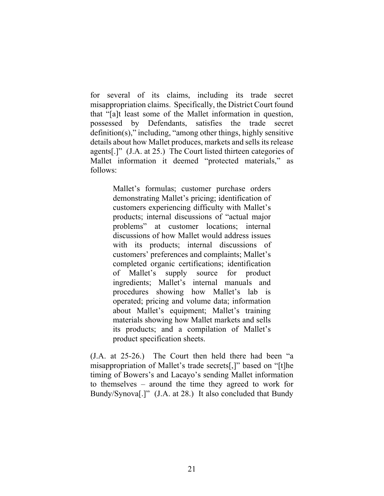for several of its claims, including its trade secret misappropriation claims. Specifically, the District Court found that "[a]t least some of the Mallet information in question, possessed by Defendants, satisfies the trade secret definition(s)," including, "among other things, highly sensitive details about how Mallet produces, markets and sells its release agents[.]" (J.A. at 25.) The Court listed thirteen categories of Mallet information it deemed "protected materials," as follows:

> Mallet's formulas; customer purchase orders demonstrating Mallet's pricing; identification of customers experiencing difficulty with Mallet's products; internal discussions of "actual major problems" at customer locations; internal discussions of how Mallet would address issues with its products; internal discussions of customers' preferences and complaints; Mallet's completed organic certifications; identification of Mallet's supply source for product ingredients; Mallet's internal manuals and procedures showing how Mallet's lab is operated; pricing and volume data; information about Mallet's equipment; Mallet's training materials showing how Mallet markets and sells its products; and a compilation of Mallet's product specification sheets.

(J.A. at 25-26.) The Court then held there had been "a misappropriation of Mallet's trade secrets[,]" based on "[t]he timing of Bowers's and Lacayo's sending Mallet information to themselves – around the time they agreed to work for Bundy/Synova[.]" (J.A. at 28.) It also concluded that Bundy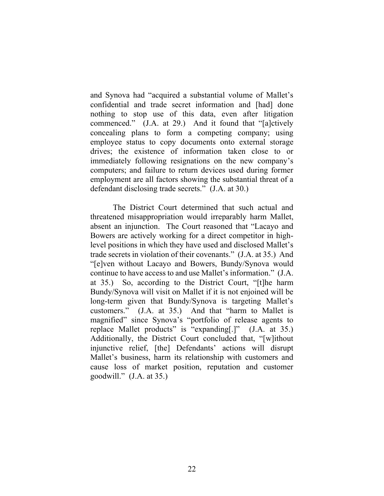and Synova had "acquired a substantial volume of Mallet's confidential and trade secret information and [had] done nothing to stop use of this data, even after litigation commenced." (J.A. at 29.) And it found that "[a]ctively concealing plans to form a competing company; using employee status to copy documents onto external storage drives; the existence of information taken close to or immediately following resignations on the new company's computers; and failure to return devices used during former employment are all factors showing the substantial threat of a defendant disclosing trade secrets." (J.A. at 30.)

The District Court determined that such actual and threatened misappropriation would irreparably harm Mallet, absent an injunction. The Court reasoned that "Lacayo and Bowers are actively working for a direct competitor in highlevel positions in which they have used and disclosed Mallet's trade secrets in violation of their covenants." (J.A. at 35.) And "[e]ven without Lacayo and Bowers, Bundy/Synova would continue to have access to and use Mallet's information." (J.A. at 35.) So, according to the District Court, "[t]he harm Bundy/Synova will visit on Mallet if it is not enjoined will be long-term given that Bundy/Synova is targeting Mallet's customers." (J.A. at 35.) And that "harm to Mallet is magnified" since Synova's "portfolio of release agents to replace Mallet products" is "expanding[.]" (J.A. at 35.) Additionally, the District Court concluded that, "[w]ithout injunctive relief, [the] Defendants' actions will disrupt Mallet's business, harm its relationship with customers and cause loss of market position, reputation and customer goodwill."  $(J.A. at 35.)$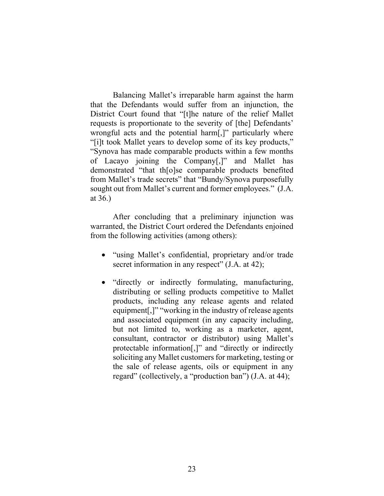Balancing Mallet's irreparable harm against the harm that the Defendants would suffer from an injunction, the District Court found that "[t]he nature of the relief Mallet requests is proportionate to the severity of [the] Defendants' wrongful acts and the potential harm[,]" particularly where "[i]t took Mallet years to develop some of its key products," "Synova has made comparable products within a few months of Lacayo joining the Company[,]" and Mallet has demonstrated "that th[o]se comparable products benefited from Mallet's trade secrets" that "Bundy/Synova purposefully sought out from Mallet's current and former employees." (J.A. at 36.)

After concluding that a preliminary injunction was warranted, the District Court ordered the Defendants enjoined from the following activities (among others):

- "using Mallet's confidential, proprietary and/or trade secret information in any respect" (J.A. at 42);
- "directly or indirectly formulating, manufacturing, distributing or selling products competitive to Mallet products, including any release agents and related equipment[,]" "working in the industry of release agents and associated equipment (in any capacity including, but not limited to, working as a marketer, agent, consultant, contractor or distributor) using Mallet's protectable information[,]" and "directly or indirectly soliciting any Mallet customers for marketing, testing or the sale of release agents, oils or equipment in any regard" (collectively, a "production ban") (J.A. at 44);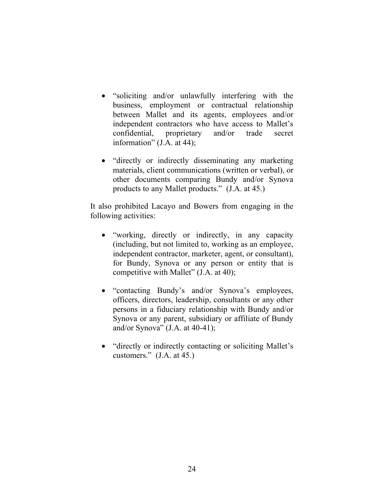- "soliciting and/or unlawfully interfering with the business, employment or contractual relationship between Mallet and its agents, employees and/or independent contractors who have access to Mallet's confidential, proprietary and/or trade secret information" (J.A. at 44);
- "directly or indirectly disseminating any marketing materials, client communications (written or verbal), or other documents comparing Bundy and/or Synova products to any Mallet products." (J.A. at 45.)

It also prohibited Lacayo and Bowers from engaging in the following activities:

- "working, directly or indirectly, in any capacity (including, but not limited to, working as an employee, independent contractor, marketer, agent, or consultant), for Bundy, Synova or any person or entity that is competitive with Mallet" (J.A. at 40);
- "contacting Bundy's and/or Synova's employees, officers, directors, leadership, consultants or any other persons in a fiduciary relationship with Bundy and/or Synova or any parent, subsidiary or affiliate of Bundy and/or Synova"  $(J.A. at 40-41)$ ;
- "directly or indirectly contacting or soliciting Mallet's customers." (J.A. at 45.)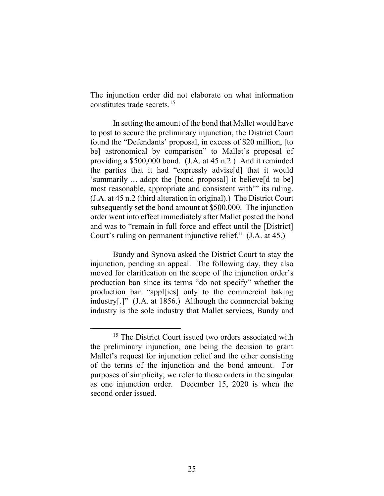The injunction order did not elaborate on what information constitutes trade secrets. 15

In setting the amount of the bond that Mallet would have to post to secure the preliminary injunction, the District Court found the "Defendants' proposal, in excess of \$20 million, [to be] astronomical by comparison" to Mallet's proposal of providing a \$500,000 bond. (J.A. at 45 n.2.) And it reminded the parties that it had "expressly advise[d] that it would 'summarily … adopt the [bond proposal] it believe[d to be] most reasonable, appropriate and consistent with'" its ruling. (J.A. at 45 n.2 (third alteration in original).) The District Court subsequently set the bond amount at \$500,000. The injunction order went into effect immediately after Mallet posted the bond and was to "remain in full force and effect until the [District] Court's ruling on permanent injunctive relief." (J.A. at 45.)

Bundy and Synova asked the District Court to stay the injunction, pending an appeal. The following day, they also moved for clarification on the scope of the injunction order's production ban since its terms "do not specify" whether the production ban "appl[ies] only to the commercial baking industry[.]" (J.A. at 1856.) Although the commercial baking industry is the sole industry that Mallet services, Bundy and

<sup>&</sup>lt;sup>15</sup> The District Court issued two orders associated with the preliminary injunction, one being the decision to grant Mallet's request for injunction relief and the other consisting of the terms of the injunction and the bond amount. For purposes of simplicity, we refer to those orders in the singular as one injunction order. December 15, 2020 is when the second order issued.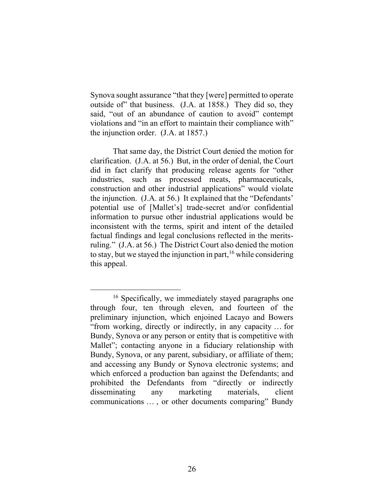Synova sought assurance "that they [were] permitted to operate outside of" that business. (J.A. at 1858.) They did so, they said, "out of an abundance of caution to avoid" contempt violations and "in an effort to maintain their compliance with" the injunction order. (J.A. at 1857.)

That same day, the District Court denied the motion for clarification. (J.A. at 56.) But, in the order of denial, the Court did in fact clarify that producing release agents for "other industries, such as processed meats, pharmaceuticals, construction and other industrial applications" would violate the injunction. (J.A. at 56.) It explained that the "Defendants' potential use of [Mallet's] trade-secret and/or confidential information to pursue other industrial applications would be inconsistent with the terms, spirit and intent of the detailed factual findings and legal conclusions reflected in the meritsruling." (J.A. at 56.) The District Court also denied the motion to stay, but we stayed the injunction in part, <sup>16</sup> while considering this appeal.

<sup>&</sup>lt;sup>16</sup> Specifically, we immediately stayed paragraphs one through four, ten through eleven, and fourteen of the preliminary injunction, which enjoined Lacayo and Bowers "from working, directly or indirectly, in any capacity … for Bundy, Synova or any person or entity that is competitive with Mallet"; contacting anyone in a fiduciary relationship with Bundy, Synova, or any parent, subsidiary, or affiliate of them; and accessing any Bundy or Synova electronic systems; and which enforced a production ban against the Defendants; and prohibited the Defendants from "directly or indirectly disseminating any marketing materials, client communications … , or other documents comparing" Bundy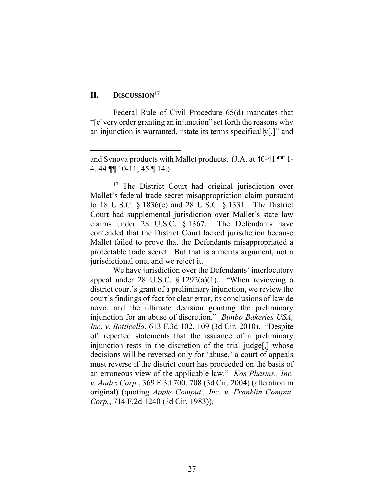# **II. DISCUSSION**<sup>17</sup>

Federal Rule of Civil Procedure 65(d) mandates that "[e]very order granting an injunction" set forth the reasons why an injunction is warranted, "state its terms specifically[,]" and

and Synova products with Mallet products. (J.A. at 40-41 ¶¶ 1- 4, 44 ¶¶ 10-11, 45 ¶ 14.)

<sup>&</sup>lt;sup>17</sup> The District Court had original jurisdiction over Mallet's federal trade secret misappropriation claim pursuant to 18 U.S.C. § 1836(c) and 28 U.S.C. § 1331. The District Court had supplemental jurisdiction over Mallet's state law claims under 28 U.S.C. § 1367. The Defendants have contended that the District Court lacked jurisdiction because Mallet failed to prove that the Defendants misappropriated a protectable trade secret. But that is a merits argument, not a jurisdictional one, and we reject it.

We have jurisdiction over the Defendants' interlocutory appeal under 28 U.S.C.  $\S$  1292(a)(1). "When reviewing a district court's grant of a preliminary injunction, we review the court's findings of fact for clear error, its conclusions of law de novo, and the ultimate decision granting the preliminary injunction for an abuse of discretion." *Bimbo Bakeries USA, Inc. v. Botticella*, 613 F.3d 102, 109 (3d Cir. 2010). "Despite oft repeated statements that the issuance of a preliminary injunction rests in the discretion of the trial judge[,] whose decisions will be reversed only for 'abuse,' a court of appeals must reverse if the district court has proceeded on the basis of an erroneous view of the applicable law." *Kos Pharms., Inc. v. Andrx Corp.*, 369 F.3d 700, 708 (3d Cir. 2004) (alteration in original) (quoting *Apple Comput., Inc. v. Franklin Comput. Corp.*, 714 F.2d 1240 (3d Cir. 1983)).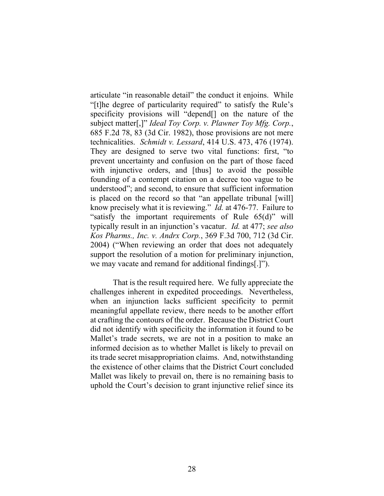articulate "in reasonable detail" the conduct it enjoins. While "[t]he degree of particularity required" to satisfy the Rule's specificity provisions will "depend<sup>[]</sup> on the nature of the subject matter[,]" *Ideal Toy Corp. v. Plawner Toy Mfg. Corp.*, 685 F.2d 78, 83 (3d Cir. 1982), those provisions are not mere technicalities. *Schmidt v. Lessard*, 414 U.S. 473, 476 (1974). They are designed to serve two vital functions: first, "to prevent uncertainty and confusion on the part of those faced with injunctive orders, and [thus] to avoid the possible founding of a contempt citation on a decree too vague to be understood"; and second, to ensure that sufficient information is placed on the record so that "an appellate tribunal [will] know precisely what it is reviewing." *Id.* at 476-77. Failure to "satisfy the important requirements of Rule 65(d)" will typically result in an injunction's vacatur. *Id.* at 477; *see also Kos Pharms., Inc. v. Andrx Corp.*, 369 F.3d 700, 712 (3d Cir. 2004) ("When reviewing an order that does not adequately support the resolution of a motion for preliminary injunction, we may vacate and remand for additional findings[.]").

That is the result required here. We fully appreciate the challenges inherent in expedited proceedings. Nevertheless, when an injunction lacks sufficient specificity to permit meaningful appellate review, there needs to be another effort at crafting the contours of the order. Because the District Court did not identify with specificity the information it found to be Mallet's trade secrets, we are not in a position to make an informed decision as to whether Mallet is likely to prevail on its trade secret misappropriation claims. And, notwithstanding the existence of other claims that the District Court concluded Mallet was likely to prevail on, there is no remaining basis to uphold the Court's decision to grant injunctive relief since its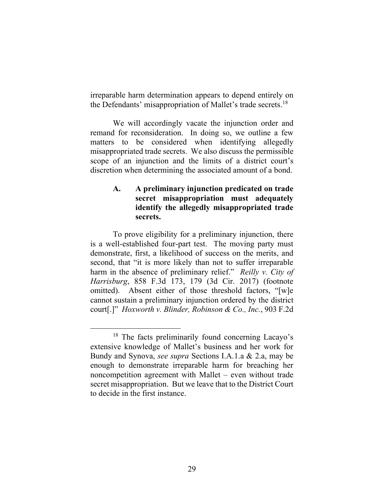irreparable harm determination appears to depend entirely on the Defendants' misappropriation of Mallet's trade secrets.<sup>18</sup>

We will accordingly vacate the injunction order and remand for reconsideration. In doing so, we outline a few matters to be considered when identifying allegedly misappropriated trade secrets. We also discuss the permissible scope of an injunction and the limits of a district court's discretion when determining the associated amount of a bond.

## **A. A preliminary injunction predicated on trade secret misappropriation must adequately identify the allegedly misappropriated trade secrets.**

To prove eligibility for a preliminary injunction, there is a well-established four-part test. The moving party must demonstrate, first, a likelihood of success on the merits, and second, that "it is more likely than not to suffer irreparable harm in the absence of preliminary relief." *Reilly v. City of Harrisburg*, 858 F.3d 173, 179 (3d Cir. 2017) (footnote omitted). Absent either of those threshold factors, "[w]e cannot sustain a preliminary injunction ordered by the district court[.]" *Hoxworth v. Blinder, Robinson & Co., Inc.*, 903 F.2d

<sup>&</sup>lt;sup>18</sup> The facts preliminarily found concerning Lacayo's extensive knowledge of Mallet's business and her work for Bundy and Synova, *see supra* Sections I.A.1.a & 2.a, may be enough to demonstrate irreparable harm for breaching her noncompetition agreement with Mallet – even without trade secret misappropriation. But we leave that to the District Court to decide in the first instance.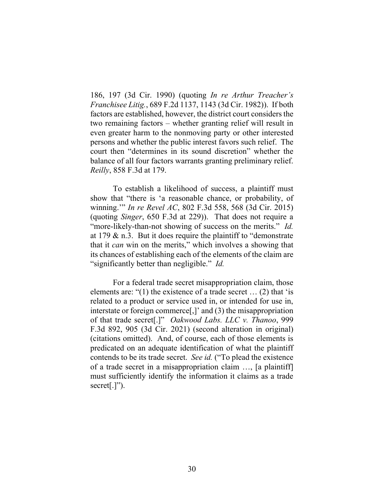186, 197 (3d Cir. 1990) (quoting *In re Arthur Treacher's Franchisee Litig.*, 689 F.2d 1137, 1143 (3d Cir. 1982)). If both factors are established, however, the district court considers the two remaining factors – whether granting relief will result in even greater harm to the nonmoving party or other interested persons and whether the public interest favors such relief. The court then "determines in its sound discretion" whether the balance of all four factors warrants granting preliminary relief. *Reilly*, 858 F.3d at 179.

To establish a likelihood of success, a plaintiff must show that "there is 'a reasonable chance, or probability, of winning.'" *In re Revel AC*, 802 F.3d 558, 568 (3d Cir. 2015) (quoting *Singer*, 650 F.3d at 229)). That does not require a "more-likely-than-not showing of success on the merits." *Id.* at 179  $\&$  n.3. But it does require the plaintiff to "demonstrate" that it *can* win on the merits," which involves a showing that its chances of establishing each of the elements of the claim are "significantly better than negligible." *Id.* 

For a federal trade secret misappropriation claim, those elements are: "(1) the existence of a trade secret  $\dots$  (2) that 'is related to a product or service used in, or intended for use in, interstate or foreign commerce[,]' and (3) the misappropriation of that trade secret[.]" *Oakwood Labs. LLC v. Thanoo*, 999 F.3d 892, 905 (3d Cir. 2021) (second alteration in original) (citations omitted). And, of course, each of those elements is predicated on an adequate identification of what the plaintiff contends to be its trade secret. *See id.* ("To plead the existence of a trade secret in a misappropriation claim …, [a plaintiff] must sufficiently identify the information it claims as a trade secret[.]").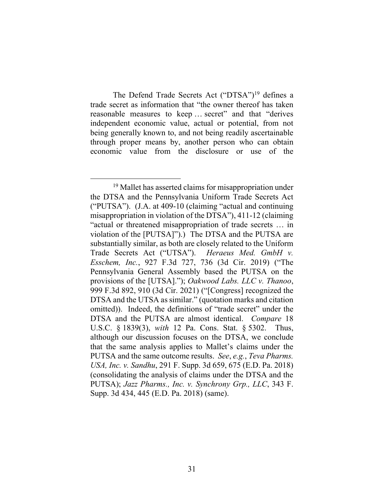The Defend Trade Secrets Act ("DTSA")<sup>19</sup> defines a trade secret as information that "the owner thereof has taken reasonable measures to keep … secret" and that "derives independent economic value, actual or potential, from not being generally known to, and not being readily ascertainable through proper means by, another person who can obtain economic value from the disclosure or use of the

<sup>&</sup>lt;sup>19</sup> Mallet has asserted claims for misappropriation under the DTSA and the Pennsylvania Uniform Trade Secrets Act ("PUTSA"). (J.A. at 409-10 (claiming "actual and continuing misappropriation in violation of the DTSA"), 411-12 (claiming "actual or threatened misappropriation of trade secrets … in violation of the [PUTSA]").) The DTSA and the PUTSA are substantially similar, as both are closely related to the Uniform Trade Secrets Act ("UTSA"). *Heraeus Med. GmbH v. Esschem, Inc.*, 927 F.3d 727, 736 (3d Cir. 2019) ("The Pennsylvania General Assembly based the PUTSA on the provisions of the [UTSA]."); *Oakwood Labs. LLC v. Thanoo*, 999 F.3d 892, 910 (3d Cir. 2021) ("[Congress] recognized the DTSA and the UTSA as similar." (quotation marks and citation omitted)). Indeed, the definitions of "trade secret" under the DTSA and the PUTSA are almost identical. *Compare* 18 U.S.C. § 1839(3), *with* 12 Pa. Cons. Stat. § 5302. Thus, although our discussion focuses on the DTSA, we conclude that the same analysis applies to Mallet's claims under the PUTSA and the same outcome results. *See*, *e.g.*, *Teva Pharms. USA, Inc. v. Sandhu*, 291 F. Supp. 3d 659, 675 (E.D. Pa. 2018) (consolidating the analysis of claims under the DTSA and the PUTSA); *Jazz Pharms., Inc. v. Synchrony Grp., LLC*, 343 F. Supp. 3d 434, 445 (E.D. Pa. 2018) (same).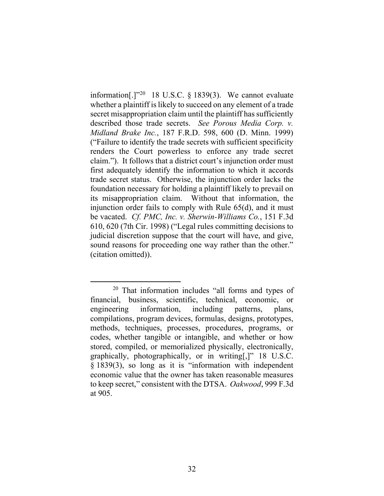information[.] $"^{20}$  18 U.S.C. § 1839(3). We cannot evaluate whether a plaintiff is likely to succeed on any element of a trade secret misappropriation claim until the plaintiff has sufficiently described those trade secrets. *See Porous Media Corp. v. Midland Brake Inc.*, 187 F.R.D. 598, 600 (D. Minn. 1999) ("Failure to identify the trade secrets with sufficient specificity renders the Court powerless to enforce any trade secret claim."). It follows that a district court's injunction order must first adequately identify the information to which it accords trade secret status. Otherwise, the injunction order lacks the foundation necessary for holding a plaintiff likely to prevail on its misappropriation claim. Without that information, the injunction order fails to comply with Rule 65(d), and it must be vacated. *Cf. PMC, Inc. v. Sherwin-Williams Co.*, 151 F.3d 610, 620 (7th Cir. 1998) ("Legal rules committing decisions to judicial discretion suppose that the court will have, and give, sound reasons for proceeding one way rather than the other." (citation omitted)).

<sup>20</sup> That information includes "all forms and types of financial, business, scientific, technical, economic, or engineering information, including patterns, plans, compilations, program devices, formulas, designs, prototypes, methods, techniques, processes, procedures, programs, or codes, whether tangible or intangible, and whether or how stored, compiled, or memorialized physically, electronically, graphically, photographically, or in writing[,]" 18 U.S.C. § 1839(3), so long as it is "information with independent economic value that the owner has taken reasonable measures to keep secret," consistent with the DTSA. *Oakwood*, 999 F.3d at 905.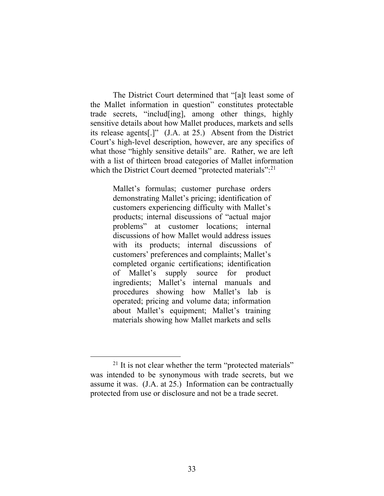The District Court determined that "[a]t least some of the Mallet information in question" constitutes protectable trade secrets, "includ[ing], among other things, highly sensitive details about how Mallet produces, markets and sells its release agents[.]" (J.A. at 25.) Absent from the District Court's high-level description, however, are any specifics of what those "highly sensitive details" are. Rather, we are left with a list of thirteen broad categories of Mallet information which the District Court deemed "protected materials":<sup>21</sup>

> Mallet's formulas; customer purchase orders demonstrating Mallet's pricing; identification of customers experiencing difficulty with Mallet's products; internal discussions of "actual major problems" at customer locations; internal discussions of how Mallet would address issues with its products; internal discussions of customers' preferences and complaints; Mallet's completed organic certifications; identification of Mallet's supply source for product ingredients; Mallet's internal manuals and procedures showing how Mallet's lab is operated; pricing and volume data; information about Mallet's equipment; Mallet's training materials showing how Mallet markets and sells

 $21$  It is not clear whether the term "protected materials" was intended to be synonymous with trade secrets, but we assume it was. (J.A. at 25.) Information can be contractually protected from use or disclosure and not be a trade secret.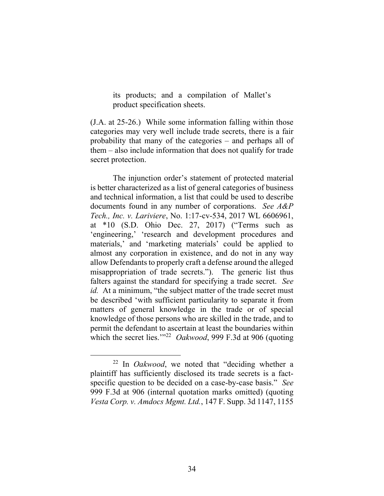its products; and a compilation of Mallet's product specification sheets.

(J.A. at 25-26.) While some information falling within those categories may very well include trade secrets, there is a fair probability that many of the categories – and perhaps all of them – also include information that does not qualify for trade secret protection.

The injunction order's statement of protected material is better characterized as a list of general categories of business and technical information, a list that could be used to describe documents found in any number of corporations. *See A&P Tech., Inc. v. Lariviere*, No. 1:17-cv-534, 2017 WL 6606961, at \*10 (S.D. Ohio Dec. 27, 2017) ("Terms such as 'engineering,' 'research and development procedures and materials,' and 'marketing materials' could be applied to almost any corporation in existence, and do not in any way allow Defendants to properly craft a defense around the alleged misappropriation of trade secrets."). The generic list thus falters against the standard for specifying a trade secret. *See id.* At a minimum, "the subject matter of the trade secret must be described 'with sufficient particularity to separate it from matters of general knowledge in the trade or of special knowledge of those persons who are skilled in the trade, and to permit the defendant to ascertain at least the boundaries within which the secret lies."<sup>22</sup> *Oakwood*, 999 F.3d at 906 (quoting

<sup>22</sup> In *Oakwood*, we noted that "deciding whether a plaintiff has sufficiently disclosed its trade secrets is a factspecific question to be decided on a case-by-case basis." *See* 999 F.3d at 906 (internal quotation marks omitted) (quoting *Vesta Corp. v. Amdocs Mgmt. Ltd.*, 147 F. Supp. 3d 1147, 1155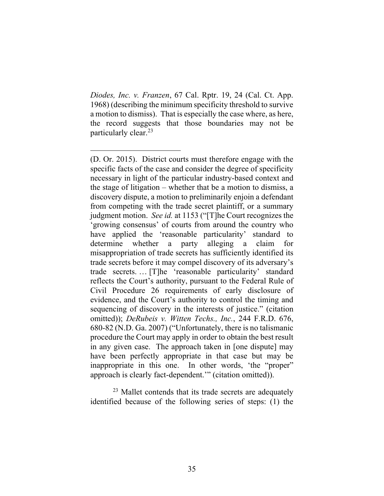*Diodes, Inc. v. Franzen*, 67 Cal. Rptr. 19, 24 (Cal. Ct. App. 1968) (describing the minimum specificity threshold to survive a motion to dismiss). That is especially the case where, as here, the record suggests that those boundaries may not be particularly clear.23

 $23$  Mallet contends that its trade secrets are adequately identified because of the following series of steps: (1) the

<sup>(</sup>D. Or. 2015). District courts must therefore engage with the specific facts of the case and consider the degree of specificity necessary in light of the particular industry-based context and the stage of litigation – whether that be a motion to dismiss, a discovery dispute, a motion to preliminarily enjoin a defendant from competing with the trade secret plaintiff, or a summary judgment motion. *See id.* at 1153 ("[T]he Court recognizes the 'growing consensus' of courts from around the country who have applied the 'reasonable particularity' standard to determine whether a party alleging a claim for misappropriation of trade secrets has sufficiently identified its trade secrets before it may compel discovery of its adversary's trade secrets. … [T]he 'reasonable particularity' standard reflects the Court's authority, pursuant to the Federal Rule of Civil Procedure 26 requirements of early disclosure of evidence, and the Court's authority to control the timing and sequencing of discovery in the interests of justice." (citation omitted)); *DeRubeis v. Witten Techs., Inc.*, 244 F.R.D. 676, 680-82 (N.D. Ga. 2007) ("Unfortunately, there is no talismanic procedure the Court may apply in order to obtain the best result in any given case. The approach taken in [one dispute] may have been perfectly appropriate in that case but may be inappropriate in this one. In other words, 'the "proper" approach is clearly fact-dependent.'" (citation omitted)).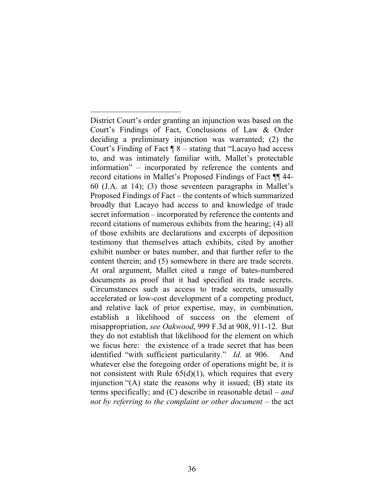District Court's order granting an injunction was based on the Court's Findings of Fact, Conclusions of Law & Order deciding a preliminary injunction was warranted; (2) the Court's Finding of Fact ¶ 8 – stating that "Lacayo had access to, and was intimately familiar with, Mallet's protectable information" – incorporated by reference the contents and record citations in Mallet's Proposed Findings of Fact ¶¶ 44- 60 (J.A. at 14); (3) those seventeen paragraphs in Mallet's Proposed Findings of Fact – the contents of which summarized broadly that Lacayo had access to and knowledge of trade secret information – incorporated by reference the contents and record citations of numerous exhibits from the hearing; (4) all of those exhibits are declarations and excerpts of deposition testimony that themselves attach exhibits, cited by another exhibit number or bates number, and that further refer to the content therein; and (5) somewhere in there are trade secrets. At oral argument, Mallet cited a range of bates-numbered documents as proof that it had specified its trade secrets. Circumstances such as access to trade secrets, unusually accelerated or low-cost development of a competing product, and relative lack of prior expertise, may, in combination, establish a likelihood of success on the element of misappropriation, *see Oakwood*, 999 F.3d at 908, 911-12. But they do not establish that likelihood for the element on which we focus here: the existence of a trade secret that has been identified "with sufficient particularity." *Id.* at 906.And whatever else the foregoing order of operations might be, it is not consistent with Rule  $65(d)(1)$ , which requires that every injunction "(A) state the reasons why it issued; (B) state its terms specifically; and (C) describe in reasonable detail – *and not by referring to the complaint or other document* – the act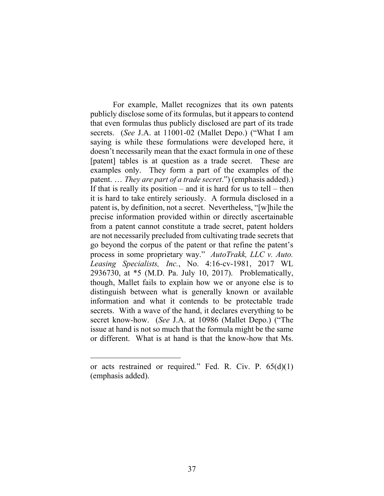For example, Mallet recognizes that its own patents publicly disclose some of its formulas, but it appears to contend that even formulas thus publicly disclosed are part of its trade secrets. (*See* J.A. at 11001-02 (Mallet Depo.) ("What I am saying is while these formulations were developed here, it doesn't necessarily mean that the exact formula in one of these [patent] tables is at question as a trade secret. These are examples only. They form a part of the examples of the patent. … *They are part of a trade secret*.") (emphasis added).) If that is really its position – and it is hard for us to tell – then it is hard to take entirely seriously. A formula disclosed in a patent is, by definition, not a secret. Nevertheless, "[w]hile the precise information provided within or directly ascertainable from a patent cannot constitute a trade secret, patent holders are not necessarily precluded from cultivating trade secrets that go beyond the corpus of the patent or that refine the patent's process in some proprietary way." *AutoTrakk, LLC v. Auto. Leasing Specialists, Inc.*, No. 4:16-cv-1981, 2017 WL 2936730, at \*5 (M.D. Pa. July 10, 2017). Problematically, though, Mallet fails to explain how we or anyone else is to distinguish between what is generally known or available information and what it contends to be protectable trade secrets. With a wave of the hand, it declares everything to be secret know-how. (*See* J.A. at 10986 (Mallet Depo.) ("The issue at hand is not so much that the formula might be the same or different. What is at hand is that the know-how that Ms.

or acts restrained or required." Fed. R. Civ. P. 65(d)(1) (emphasis added).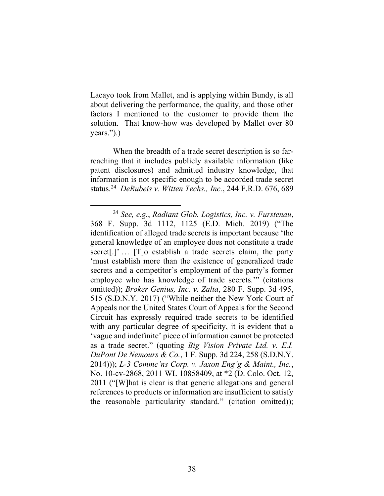Lacayo took from Mallet, and is applying within Bundy, is all about delivering the performance, the quality, and those other factors I mentioned to the customer to provide them the solution. That know-how was developed by Mallet over 80 years.").)

When the breadth of a trade secret description is so farreaching that it includes publicly available information (like patent disclosures) and admitted industry knowledge, that information is not specific enough to be accorded trade secret status. 24 *DeRubeis v. Witten Techs., Inc.*, 244 F.R.D. 676, 689

<sup>24</sup> *See, e.g.*, *Radiant Glob. Logistics, Inc. v. Furstenau*, 368 F. Supp. 3d 1112, 1125 (E.D. Mich. 2019) ("The identification of alleged trade secrets is important because 'the general knowledge of an employee does not constitute a trade secret<sup>[1]</sup> ... [T]o establish a trade secrets claim, the party 'must establish more than the existence of generalized trade secrets and a competitor's employment of the party's former employee who has knowledge of trade secrets.'" (citations omitted)); *Broker Genius, Inc. v. Zalta*, 280 F. Supp. 3d 495, 515 (S.D.N.Y. 2017) ("While neither the New York Court of Appeals nor the United States Court of Appeals for the Second Circuit has expressly required trade secrets to be identified with any particular degree of specificity, it is evident that a 'vague and indefinite' piece of information cannot be protected as a trade secret." (quoting *Big Vision Private Ltd. v. E.I. DuPont De Nemours & Co.*, 1 F. Supp. 3d 224, 258 (S.D.N.Y. 2014))); *L-3 Commc'ns Corp. v. Jaxon Eng'g & Maint., Inc.*, No. 10-cv-2868, 2011 WL 10858409, at \*2 (D. Colo. Oct. 12, 2011 ("[W]hat is clear is that generic allegations and general references to products or information are insufficient to satisfy the reasonable particularity standard." (citation omitted));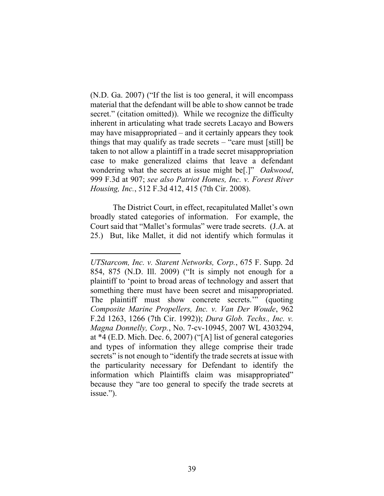(N.D. Ga. 2007) ("If the list is too general, it will encompass material that the defendant will be able to show cannot be trade secret." (citation omitted)). While we recognize the difficulty inherent in articulating what trade secrets Lacayo and Bowers may have misappropriated – and it certainly appears they took things that may qualify as trade secrets  $-$  "care must [still] be taken to not allow a plaintiff in a trade secret misappropriation case to make generalized claims that leave a defendant wondering what the secrets at issue might be[.]" *Oakwood*, 999 F.3d at 907; *see also Patriot Homes, Inc. v. Forest River Housing, Inc.*, 512 F.3d 412, 415 (7th Cir. 2008).

The District Court, in effect, recapitulated Mallet's own broadly stated categories of information. For example, the Court said that "Mallet's formulas" were trade secrets. (J.A. at 25.) But, like Mallet, it did not identify which formulas it

*UTStarcom, Inc. v. Starent Networks, Corp.*, 675 F. Supp. 2d 854, 875 (N.D. Ill. 2009) ("It is simply not enough for a plaintiff to 'point to broad areas of technology and assert that something there must have been secret and misappropriated. The plaintiff must show concrete secrets.'" (quoting *Composite Marine Propellers, Inc. v. Van Der Woude*, 962 F.2d 1263, 1266 (7th Cir. 1992)); *Dura Glob. Techs., Inc. v. Magna Donnelly, Corp.*, No. 7-cv-10945, 2007 WL 4303294, at \*4 (E.D. Mich. Dec. 6, 2007) ("[A] list of general categories and types of information they allege comprise their trade secrets" is not enough to "identify the trade secrets at issue with the particularity necessary for Defendant to identify the information which Plaintiffs claim was misappropriated" because they "are too general to specify the trade secrets at issue.").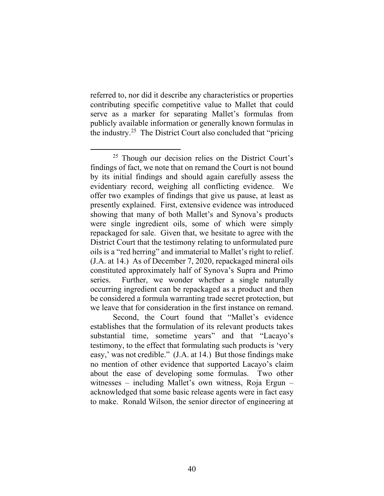referred to, nor did it describe any characteristics or properties contributing specific competitive value to Mallet that could serve as a marker for separating Mallet's formulas from publicly available information or generally known formulas in the industry.25 The District Court also concluded that "pricing

Second, the Court found that "Mallet's evidence establishes that the formulation of its relevant products takes substantial time, sometime years" and that "Lacayo's testimony, to the effect that formulating such products is 'very easy,' was not credible." (J.A. at 14.) But those findings make no mention of other evidence that supported Lacayo's claim about the ease of developing some formulas. Two other witnesses – including Mallet's own witness, Roja Ergun – acknowledged that some basic release agents were in fact easy to make. Ronald Wilson, the senior director of engineering at

<sup>25</sup> Though our decision relies on the District Court's findings of fact, we note that on remand the Court is not bound by its initial findings and should again carefully assess the evidentiary record, weighing all conflicting evidence. We offer two examples of findings that give us pause, at least as presently explained. First, extensive evidence was introduced showing that many of both Mallet's and Synova's products were single ingredient oils, some of which were simply repackaged for sale. Given that, we hesitate to agree with the District Court that the testimony relating to unformulated pure oils is a "red herring" and immaterial to Mallet's right to relief. (J.A. at 14.) As of December 7, 2020, repackaged mineral oils constituted approximately half of Synova's Supra and Primo series. Further, we wonder whether a single naturally occurring ingredient can be repackaged as a product and then be considered a formula warranting trade secret protection, but we leave that for consideration in the first instance on remand.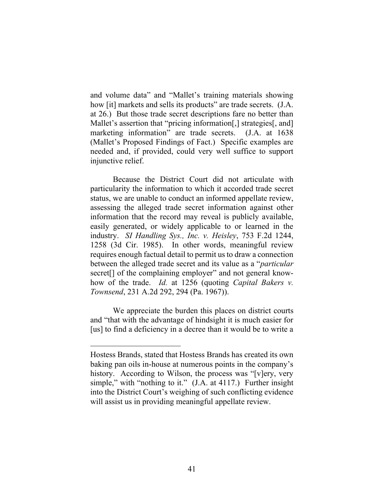and volume data" and "Mallet's training materials showing how [it] markets and sells its products" are trade secrets. (J.A. at 26.) But those trade secret descriptions fare no better than Mallet's assertion that "pricing information[,] strategies[, and] marketing information" are trade secrets. (J.A. at 1638 (Mallet's Proposed Findings of Fact.) Specific examples are needed and, if provided, could very well suffice to support injunctive relief.

Because the District Court did not articulate with particularity the information to which it accorded trade secret status, we are unable to conduct an informed appellate review, assessing the alleged trade secret information against other information that the record may reveal is publicly available, easily generated, or widely applicable to or learned in the industry. *SI Handling Sys., Inc. v. Heisley*, 753 F.2d 1244, 1258 (3d Cir. 1985). In other words, meaningful review requires enough factual detail to permit us to draw a connection between the alleged trade secret and its value as a "*particular* secret<sup>[]</sup> of the complaining employer" and not general knowhow of the trade. *Id.* at 1256 (quoting *Capital Bakers v. Townsend*, 231 A.2d 292, 294 (Pa. 1967)).

We appreciate the burden this places on district courts and "that with the advantage of hindsight it is much easier for [us] to find a deficiency in a decree than it would be to write a

Hostess Brands, stated that Hostess Brands has created its own baking pan oils in-house at numerous points in the company's history. According to Wilson, the process was "[v]ery, very simple," with "nothing to it." (J.A. at 4117.) Further insight into the District Court's weighing of such conflicting evidence will assist us in providing meaningful appellate review.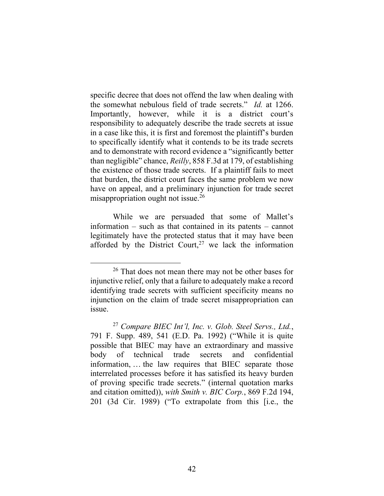specific decree that does not offend the law when dealing with the somewhat nebulous field of trade secrets." *Id.* at 1266. Importantly, however, while it is a district court's responsibility to adequately describe the trade secrets at issue in a case like this, it is first and foremost the plaintiff's burden to specifically identify what it contends to be its trade secrets and to demonstrate with record evidence a "significantly better than negligible" chance, *Reilly*, 858 F.3d at 179, of establishing the existence of those trade secrets. If a plaintiff fails to meet that burden, the district court faces the same problem we now have on appeal, and a preliminary injunction for trade secret misappropriation ought not issue.<sup>26</sup>

While we are persuaded that some of Mallet's information – such as that contained in its patents – cannot legitimately have the protected status that it may have been afforded by the District Court,<sup>27</sup> we lack the information

<sup>26</sup> That does not mean there may not be other bases for injunctive relief, only that a failure to adequately make a record identifying trade secrets with sufficient specificity means no injunction on the claim of trade secret misappropriation can issue.

<sup>27</sup> *Compare BIEC Int'l, Inc. v. Glob. Steel Servs., Ltd.*, 791 F. Supp. 489, 541 (E.D. Pa. 1992) ("While it is quite possible that BIEC may have an extraordinary and massive body of technical trade secrets and confidential information, … the law requires that BIEC separate those interrelated processes before it has satisfied its heavy burden of proving specific trade secrets." (internal quotation marks and citation omitted)), *with Smith v. BIC Corp.*, 869 F.2d 194, 201 (3d Cir. 1989) ("To extrapolate from this [i.e., the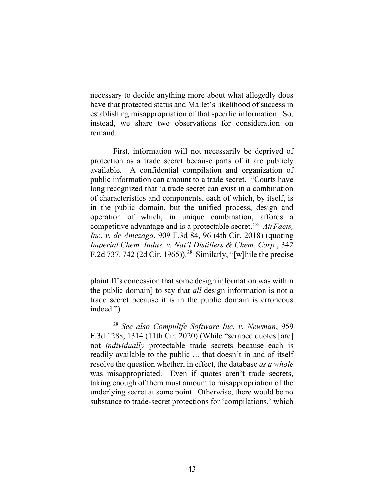necessary to decide anything more about what allegedly does have that protected status and Mallet's likelihood of success in establishing misappropriation of that specific information. So, instead, we share two observations for consideration on remand.

First, information will not necessarily be deprived of protection as a trade secret because parts of it are publicly available. A confidential compilation and organization of public information can amount to a trade secret. "Courts have long recognized that 'a trade secret can exist in a combination of characteristics and components, each of which, by itself, is in the public domain, but the unified process, design and operation of which, in unique combination, affords a competitive advantage and is a protectable secret.'" *AirFacts, Inc. v. de Amezaga*, 909 F.3d 84, 96 (4th Cir. 2018) (quoting *Imperial Chem. Indus. v. Nat'l Distillers & Chem. Corp.*, 342 F.2d 737, 742 (2d Cir. 1965)).<sup>28</sup> Similarly, "[w] hile the precise

plaintiff's concession that some design information was within the public domain] to say that *all* design information is not a trade secret because it is in the public domain is erroneous indeed.").

<sup>28</sup> *See also Compulife Software Inc. v. Newman*, 959 F.3d 1288, 1314 (11th Cir. 2020) (While "scraped quotes [are] not *individually* protectable trade secrets because each is readily available to the public … that doesn't in and of itself resolve the question whether, in effect, the database *as a whole* was misappropriated. Even if quotes aren't trade secrets, taking enough of them must amount to misappropriation of the underlying secret at some point. Otherwise, there would be no substance to trade-secret protections for 'compilations,' which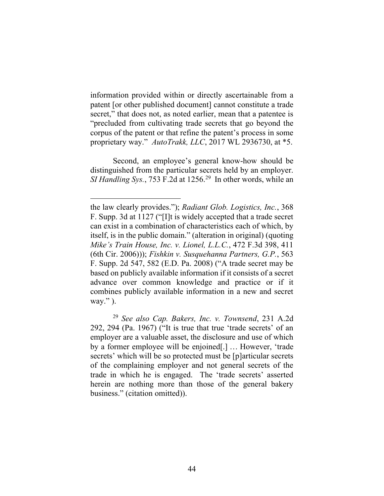information provided within or directly ascertainable from a patent [or other published document] cannot constitute a trade secret," that does not, as noted earlier, mean that a patentee is "precluded from cultivating trade secrets that go beyond the corpus of the patent or that refine the patent's process in some proprietary way." *AutoTrakk, LLC*, 2017 WL 2936730, at \*5.

Second, an employee's general know-how should be distinguished from the particular secrets held by an employer. *SI Handling Sys.*, 753 F.2d at 1256.29 In other words, while an

the law clearly provides."); *Radiant Glob. Logistics, Inc.*, 368 F. Supp. 3d at 1127 ("[I]t is widely accepted that a trade secret can exist in a combination of characteristics each of which, by itself, is in the public domain." (alteration in original) (quoting *Mike's Train House, Inc. v. Lionel, L.L.C.*, 472 F.3d 398, 411 (6th Cir. 2006))); *Fishkin v. Susquehanna Partners, G.P.*, 563 F. Supp. 2d 547, 582 (E.D. Pa. 2008) ("A trade secret may be based on publicly available information if it consists of a secret advance over common knowledge and practice or if it combines publicly available information in a new and secret way." ).

<sup>29</sup> *See also Cap. Bakers, Inc. v. Townsend*, 231 A.2d 292, 294 (Pa. 1967) ("It is true that true 'trade secrets' of an employer are a valuable asset, the disclosure and use of which by a former employee will be enjoined[.] … However, 'trade secrets' which will be so protected must be [p]articular secrets of the complaining employer and not general secrets of the trade in which he is engaged. The 'trade secrets' asserted herein are nothing more than those of the general bakery business." (citation omitted)).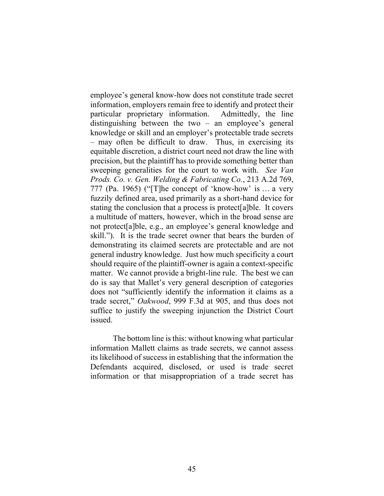employee's general know-how does not constitute trade secret information, employers remain free to identify and protect their particular proprietary information. Admittedly, the line distinguishing between the two – an employee's general knowledge or skill and an employer's protectable trade secrets – may often be difficult to draw. Thus, in exercising its equitable discretion, a district court need not draw the line with precision, but the plaintiff has to provide something better than sweeping generalities for the court to work with. *See Van Prods. Co. v. Gen. Welding & Fabricating Co.*, 213 A.2d 769, 777 (Pa. 1965) ("[T]he concept of 'know-how' is … a very fuzzily defined area, used primarily as a short-hand device for stating the conclusion that a process is protect[a]ble. It covers a multitude of matters, however, which in the broad sense are not protect[a]ble, e.g., an employee's general knowledge and skill."). It is the trade secret owner that bears the burden of demonstrating its claimed secrets are protectable and are not general industry knowledge. Just how much specificity a court should require of the plaintiff-owner is again a context-specific matter. We cannot provide a bright-line rule. The best we can do is say that Mallet's very general description of categories does not "sufficiently identify the information it claims as a trade secret," *Oakwood*, 999 F.3d at 905, and thus does not suffice to justify the sweeping injunction the District Court issued.

The bottom line is this: without knowing what particular information Mallett claims as trade secrets, we cannot assess its likelihood of success in establishing that the information the Defendants acquired, disclosed, or used is trade secret information or that misappropriation of a trade secret has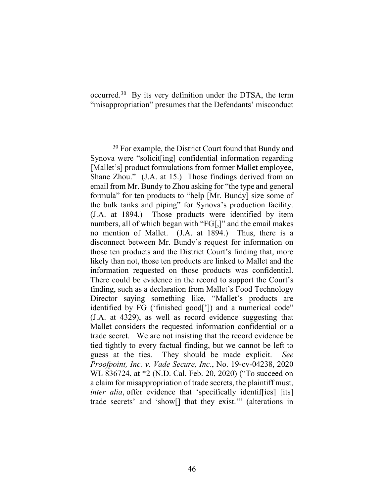occurred.<sup>30</sup> By its very definition under the DTSA, the term "misappropriation" presumes that the Defendants' misconduct

<sup>&</sup>lt;sup>30</sup> For example, the District Court found that Bundy and Synova were "solicit[ing] confidential information regarding [Mallet's] product formulations from former Mallet employee, Shane Zhou." (J.A. at 15.) Those findings derived from an email from Mr. Bundy to Zhou asking for "the type and general formula" for ten products to "help [Mr. Bundy] size some of the bulk tanks and piping" for Synova's production facility. (J.A. at 1894.) Those products were identified by item numbers, all of which began with "FG[,]" and the email makes no mention of Mallet. (J.A. at 1894.) Thus, there is a disconnect between Mr. Bundy's request for information on those ten products and the District Court's finding that, more likely than not, those ten products are linked to Mallet and the information requested on those products was confidential. There could be evidence in the record to support the Court's finding, such as a declaration from Mallet's Food Technology Director saying something like, "Mallet's products are identified by FG ('finished good[']) and a numerical code" (J.A. at 4329), as well as record evidence suggesting that Mallet considers the requested information confidential or a trade secret. We are not insisting that the record evidence be tied tightly to every factual finding, but we cannot be left to guess at the ties. They should be made explicit. *See Proofpoint, Inc. v. Vade Secure, Inc.*, No. 19-cv-04238, 2020 WL 836724, at \*2 (N.D. Cal. Feb. 20, 2020) ("To succeed on a claim for misappropriation of trade secrets, the plaintiff must, *inter alia*, offer evidence that 'specifically identiffies] [its] trade secrets' and 'show[] that they exist.'" (alterations in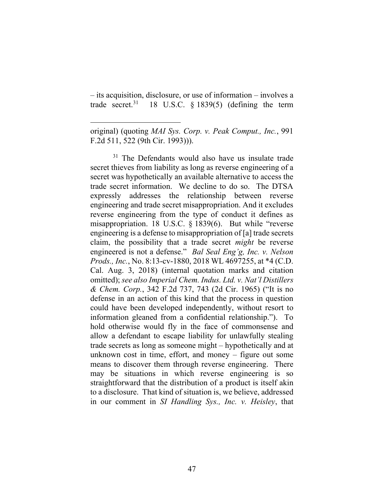– its acquisition, disclosure, or use of information – involves a trade secret.<sup>31</sup> 18 U.S.C.  $\S$  1839(5) (defining the term

<sup>31</sup> The Defendants would also have us insulate trade secret thieves from liability as long as reverse engineering of a secret was hypothetically an available alternative to access the trade secret information. We decline to do so. The DTSA expressly addresses the relationship between reverse engineering and trade secret misappropriation. And it excludes reverse engineering from the type of conduct it defines as misappropriation. 18 U.S.C. § 1839(6). But while "reverse engineering is a defense to misappropriation of [a] trade secrets claim, the possibility that a trade secret *might* be reverse engineered is not a defense." *Bal Seal Eng'g, Inc. v. Nelson Prods., Inc.*, No. 8:13-cv-1880, 2018 WL 4697255, at \*4 (C.D. Cal. Aug. 3, 2018) (internal quotation marks and citation omitted); *see also Imperial Chem. Indus. Ltd. v. Nat'l Distillers & Chem. Corp.*, 342 F.2d 737, 743 (2d Cir. 1965) ("It is no defense in an action of this kind that the process in question could have been developed independently, without resort to information gleaned from a confidential relationship."). To hold otherwise would fly in the face of commonsense and allow a defendant to escape liability for unlawfully stealing trade secrets as long as someone might – hypothetically and at unknown cost in time, effort, and money – figure out some means to discover them through reverse engineering. There may be situations in which reverse engineering is so straightforward that the distribution of a product is itself akin to a disclosure. That kind of situation is, we believe, addressed in our comment in *SI Handling Sys., Inc. v. Heisley*, that

original) (quoting *MAI Sys. Corp. v. Peak Comput., Inc.*, 991 F.2d 511, 522 (9th Cir. 1993))).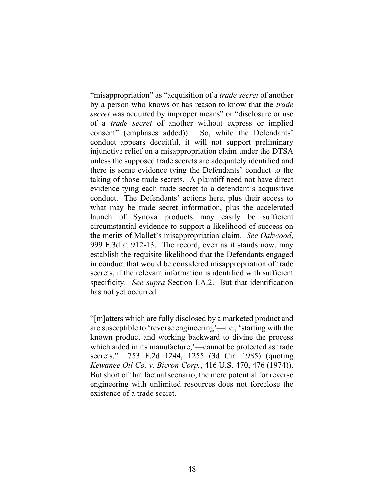"misappropriation" as "acquisition of a *trade secret* of another by a person who knows or has reason to know that the *trade secret* was acquired by improper means" or "disclosure or use of a *trade secret* of another without express or implied consent" (emphases added)). So, while the Defendants' conduct appears deceitful, it will not support preliminary injunctive relief on a misappropriation claim under the DTSA unless the supposed trade secrets are adequately identified and there is some evidence tying the Defendants' conduct to the taking of those trade secrets. A plaintiff need not have direct evidence tying each trade secret to a defendant's acquisitive conduct. The Defendants' actions here, plus their access to what may be trade secret information, plus the accelerated launch of Synova products may easily be sufficient circumstantial evidence to support a likelihood of success on the merits of Mallet's misappropriation claim. *See Oakwood*, 999 F.3d at 912-13. The record, even as it stands now, may establish the requisite likelihood that the Defendants engaged in conduct that would be considered misappropriation of trade secrets, if the relevant information is identified with sufficient specificity. *See supra* Section I.A.2. But that identification has not yet occurred.

<sup>&</sup>quot;[m]atters which are fully disclosed by a marketed product and are susceptible to 'reverse engineering'—i.e., 'starting with the known product and working backward to divine the process which aided in its manufacture,'—cannot be protected as trade secrets." 753 F.2d 1244, 1255 (3d Cir. 1985) (quoting *Kewanee Oil Co. v. Bicron Corp.*, 416 U.S. 470, 476 (1974)). But short of that factual scenario, the mere potential for reverse engineering with unlimited resources does not foreclose the existence of a trade secret.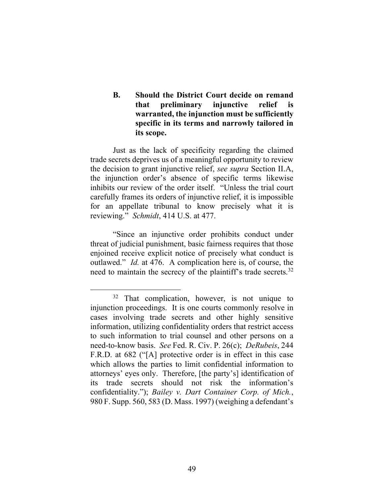**B. Should the District Court decide on remand that preliminary injunctive relief is warranted, the injunction must be sufficiently specific in its terms and narrowly tailored in its scope.**

Just as the lack of specificity regarding the claimed trade secrets deprives us of a meaningful opportunity to review the decision to grant injunctive relief, *see supra* Section II.A, the injunction order's absence of specific terms likewise inhibits our review of the order itself. "Unless the trial court carefully frames its orders of injunctive relief, it is impossible for an appellate tribunal to know precisely what it is reviewing." *Schmidt*, 414 U.S. at 477.

"Since an injunctive order prohibits conduct under threat of judicial punishment, basic fairness requires that those enjoined receive explicit notice of precisely what conduct is outlawed." *Id.* at 476. A complication here is, of course, the need to maintain the secrecy of the plaintiff's trade secrets.<sup>32</sup>

<sup>&</sup>lt;sup>32</sup> That complication, however, is not unique to injunction proceedings. It is one courts commonly resolve in cases involving trade secrets and other highly sensitive information, utilizing confidentiality orders that restrict access to such information to trial counsel and other persons on a need-to-know basis. *See* Fed. R. Civ. P. 26(c); *DeRubeis*, 244 F.R.D. at 682 ("[A] protective order is in effect in this case which allows the parties to limit confidential information to attorneys' eyes only. Therefore, [the party's] identification of its trade secrets should not risk the information's confidentiality."); *Bailey v. Dart Container Corp. of Mich.*, 980 F. Supp. 560, 583 (D. Mass. 1997) (weighing a defendant's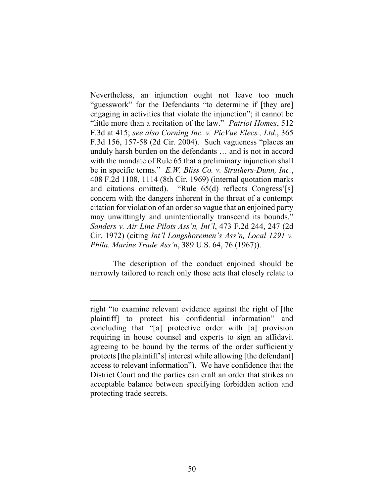Nevertheless, an injunction ought not leave too much "guesswork" for the Defendants "to determine if [they are] engaging in activities that violate the injunction"; it cannot be "little more than a recitation of the law." *Patriot Homes*, 512 F.3d at 415; *see also Corning Inc. v. PicVue Elecs., Ltd.*, 365 F.3d 156, 157-58 (2d Cir. 2004). Such vagueness "places an unduly harsh burden on the defendants … and is not in accord with the mandate of Rule 65 that a preliminary injunction shall be in specific terms." *E.W. Bliss Co. v. Struthers-Dunn, Inc.*, 408 F.2d 1108, 1114 (8th Cir. 1969) (internal quotation marks and citations omitted). "Rule 65(d) reflects Congress'[s] concern with the dangers inherent in the threat of a contempt citation for violation of an order so vague that an enjoined party may unwittingly and unintentionally transcend its bounds." *Sanders v. Air Line Pilots Ass'n, Int'l*, 473 F.2d 244, 247 (2d Cir. 1972) (citing *Int'l Longshoremen's Ass'n, Local 1291 v. Phila. Marine Trade Ass'n*, 389 U.S. 64, 76 (1967)).

The description of the conduct enjoined should be narrowly tailored to reach only those acts that closely relate to

right "to examine relevant evidence against the right of [the plaintiff] to protect his confidential information" and concluding that "[a] protective order with [a] provision requiring in house counsel and experts to sign an affidavit agreeing to be bound by the terms of the order sufficiently protects [the plaintiff's] interest while allowing [the defendant] access to relevant information"). We have confidence that the District Court and the parties can craft an order that strikes an acceptable balance between specifying forbidden action and protecting trade secrets.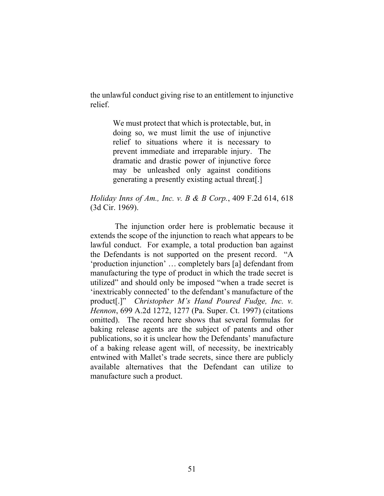the unlawful conduct giving rise to an entitlement to injunctive relief.

> We must protect that which is protectable, but, in doing so, we must limit the use of injunctive relief to situations where it is necessary to prevent immediate and irreparable injury. The dramatic and drastic power of injunctive force may be unleashed only against conditions generating a presently existing actual threat[.]

### *Holiday Inns of Am., Inc. v. B & B Corp.*, 409 F.2d 614, 618 (3d Cir. 1969).

The injunction order here is problematic because it extends the scope of the injunction to reach what appears to be lawful conduct. For example, a total production ban against the Defendants is not supported on the present record. "A 'production injunction' … completely bars [a] defendant from manufacturing the type of product in which the trade secret is utilized" and should only be imposed "when a trade secret is 'inextricably connected' to the defendant's manufacture of the product[.]" *Christopher M's Hand Poured Fudge, Inc. v. Hennon*, 699 A.2d 1272, 1277 (Pa. Super. Ct. 1997) (citations omitted). The record here shows that several formulas for baking release agents are the subject of patents and other publications, so it is unclear how the Defendants' manufacture of a baking release agent will, of necessity, be inextricably entwined with Mallet's trade secrets, since there are publicly available alternatives that the Defendant can utilize to manufacture such a product.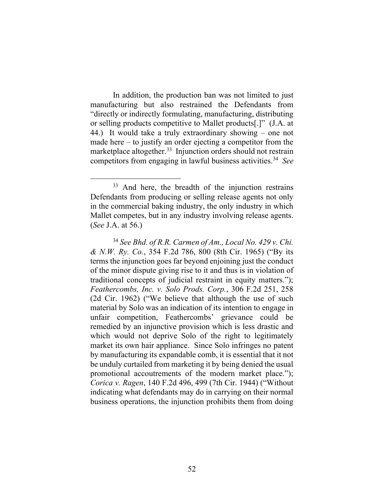In addition, the production ban was not limited to just manufacturing but also restrained the Defendants from "directly or indirectly formulating, manufacturing, distributing or selling products competitive to Mallet products[.]" (J.A. at 44.) It would take a truly extraordinary showing – one not made here – to justify an order ejecting a competitor from the marketplace altogether.<sup>33</sup> Injunction orders should not restrain competitors from engaging in lawful business activities. 34 *See* 

<sup>33</sup> And here, the breadth of the injunction restrains Defendants from producing or selling release agents not only in the commercial baking industry, the only industry in which Mallet competes, but in any industry involving release agents. (*See* J.A. at 56.)

<sup>34</sup> *See Bhd. of R.R. Carmen of Am., Local No. 429 v. Chi. & N.W. Ry. Co.*, 354 F.2d 786, 800 (8th Cir. 1965) ("By its terms the injunction goes far beyond enjoining just the conduct of the minor dispute giving rise to it and thus is in violation of traditional concepts of judicial restraint in equity matters."); *Feathercombs, Inc. v. Solo Prods. Corp.*, 306 F.2d 251, 258 (2d Cir. 1962) ("We believe that although the use of such material by Solo was an indication of its intention to engage in unfair competition, Feathercombs' grievance could be remedied by an injunctive provision which is less drastic and which would not deprive Solo of the right to legitimately market its own hair appliance. Since Solo infringes no patent by manufacturing its expandable comb, it is essential that it not be unduly curtailed from marketing it by being denied the usual promotional accoutrements of the modern market place."); *Corica v. Ragen*, 140 F.2d 496, 499 (7th Cir. 1944) ("Without indicating what defendants may do in carrying on their normal business operations, the injunction prohibits them from doing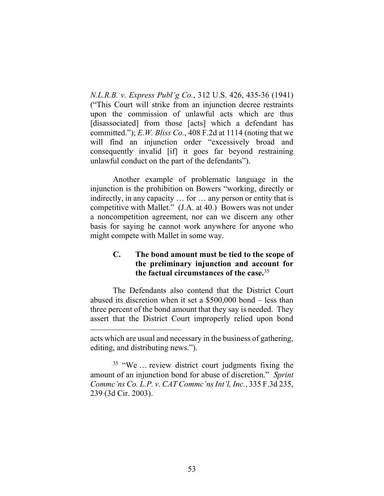*N.L.R.B. v. Express Publ'g Co.*, 312 U.S. 426, 435-36 (1941) ("This Court will strike from an injunction decree restraints upon the commission of unlawful acts which are thus [disassociated] from those [acts] which a defendant has committed."); *E.W. Bliss Co.*, 408 F.2d at 1114 (noting that we will find an injunction order "excessively broad and consequently invalid [if] it goes far beyond restraining unlawful conduct on the part of the defendants").

Another example of problematic language in the injunction is the prohibition on Bowers "working, directly or indirectly, in any capacity … for … any person or entity that is competitive with Mallet." (J.A. at 40.) Bowers was not under a noncompetition agreement, nor can we discern any other basis for saying he cannot work anywhere for anyone who might compete with Mallet in some way.

# **C. The bond amount must be tied to the scope of the preliminary injunction and account for the factual circumstances of the case.**<sup>35</sup>

The Defendants also contend that the District Court abused its discretion when it set a \$500,000 bond – less than three percent of the bond amount that they say is needed. They assert that the District Court improperly relied upon bond

acts which are usual and necessary in the business of gathering, editing, and distributing news.").

<sup>&</sup>lt;sup>35</sup> "We ... review district court judgments fixing the amount of an injunction bond for abuse of discretion." *Sprint Commc'ns Co. L.P. v. CAT Commc'ns Int'l, Inc.*, 335 F.3d 235, 239 (3d Cir. 2003).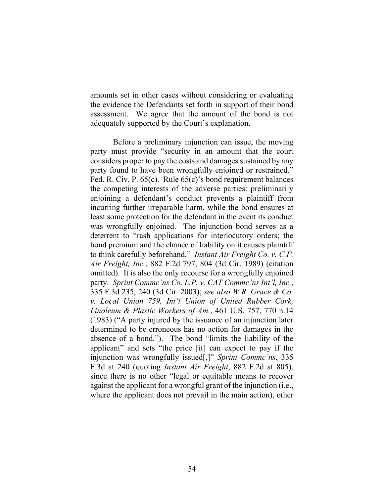amounts set in other cases without considering or evaluating the evidence the Defendants set forth in support of their bond assessment. We agree that the amount of the bond is not adequately supported by the Court's explanation.

Before a preliminary injunction can issue, the moving party must provide "security in an amount that the court considers proper to pay the costs and damages sustained by any party found to have been wrongfully enjoined or restrained." Fed. R. Civ. P. 65(c). Rule 65(c)'s bond requirement balances the competing interests of the adverse parties: preliminarily enjoining a defendant's conduct prevents a plaintiff from incurring further irreparable harm, while the bond ensures at least some protection for the defendant in the event its conduct was wrongfully enjoined. The injunction bond serves as a deterrent to "rash applications for interlocutory orders; the bond premium and the chance of liability on it causes plaintiff to think carefully beforehand." *Instant Air Freight Co. v. C.F. Air Freight, Inc.*, 882 F.2d 797, 804 (3d Cir. 1989) (citation omitted). It is also the only recourse for a wrongfully enjoined party. *Sprint Commc'ns Co. L.P. v. CAT Commc'ns Int'l, Inc.*, 335 F.3d 235, 240 (3d Cir. 2003); *see also W.R. Grace & Co. v. Local Union 759, Int'l Union of United Rubber Cork, Linoleum & Plastic Workers of Am.*, 461 U.S. 757, 770 n.14 (1983) ("A party injured by the issuance of an injunction later determined to be erroneous has no action for damages in the absence of a bond."). The bond "limits the liability of the applicant" and sets "the price [it] can expect to pay if the injunction was wrongfully issued[,]" *Sprint Commc'ns*, 335 F.3d at 240 (quoting *Instant Air Freight*, 882 F.2d at 805), since there is no other "legal or equitable means to recover against the applicant for a wrongful grant of the injunction (i.e., where the applicant does not prevail in the main action), other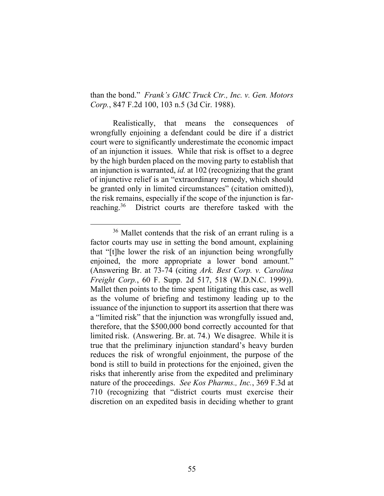than the bond." *Frank's GMC Truck Ctr., Inc. v. Gen. Motors Corp.*, 847 F.2d 100, 103 n.5 (3d Cir. 1988).

Realistically, that means the consequences of wrongfully enjoining a defendant could be dire if a district court were to significantly underestimate the economic impact of an injunction it issues. While that risk is offset to a degree by the high burden placed on the moving party to establish that an injunction is warranted, *id.* at 102 (recognizing that the grant of injunctive relief is an "extraordinary remedy, which should be granted only in limited circumstances" (citation omitted)), the risk remains, especially if the scope of the injunction is farreaching.36 District courts are therefore tasked with the

<sup>36</sup> Mallet contends that the risk of an errant ruling is a factor courts may use in setting the bond amount, explaining that "[t]he lower the risk of an injunction being wrongfully enjoined, the more appropriate a lower bond amount." (Answering Br. at 73-74 (citing *Ark. Best Corp. v. Carolina Freight Corp.*, 60 F. Supp. 2d 517, 518 (W.D.N.C. 1999)). Mallet then points to the time spent litigating this case, as well as the volume of briefing and testimony leading up to the issuance of the injunction to support its assertion that there was a "limited risk" that the injunction was wrongfully issued and, therefore, that the \$500,000 bond correctly accounted for that limited risk. (Answering. Br. at. 74.) We disagree. While it is true that the preliminary injunction standard's heavy burden reduces the risk of wrongful enjoinment, the purpose of the bond is still to build in protections for the enjoined, given the risks that inherently arise from the expedited and preliminary nature of the proceedings. *See Kos Pharms., Inc.*, 369 F.3d at 710 (recognizing that "district courts must exercise their discretion on an expedited basis in deciding whether to grant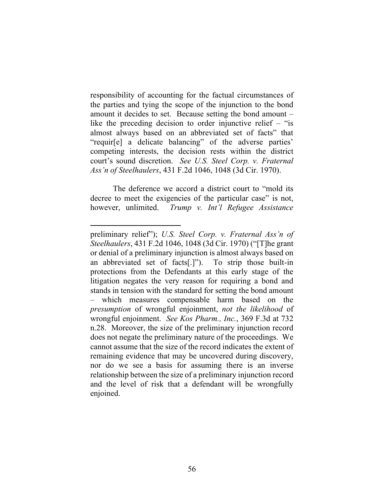responsibility of accounting for the factual circumstances of the parties and tying the scope of the injunction to the bond amount it decides to set. Because setting the bond amount – like the preceding decision to order injunctive relief – "is almost always based on an abbreviated set of facts" that "requir[e] a delicate balancing" of the adverse parties' competing interests, the decision rests within the district court's sound discretion. *See U.S. Steel Corp. v. Fraternal Ass'n of Steelhaulers*, 431 F.2d 1046, 1048 (3d Cir. 1970).

The deference we accord a district court to "mold its decree to meet the exigencies of the particular case" is not, however, unlimited. *Trump v. Int'l Refugee Assistance* 

preliminary relief"); *U.S. Steel Corp. v. Fraternal Ass'n of Steelhaulers*, 431 F.2d 1046, 1048 (3d Cir. 1970) ("[T]he grant or denial of a preliminary injunction is almost always based on an abbreviated set of facts[.]"). To strip those built-in protections from the Defendants at this early stage of the litigation negates the very reason for requiring a bond and stands in tension with the standard for setting the bond amount – which measures compensable harm based on the *presumption* of wrongful enjoinment, *not the likelihood* of wrongful enjoinment. *See Kos Pharm., Inc.*, 369 F.3d at 732 n.28. Moreover, the size of the preliminary injunction record does not negate the preliminary nature of the proceedings. We cannot assume that the size of the record indicates the extent of remaining evidence that may be uncovered during discovery, nor do we see a basis for assuming there is an inverse relationship between the size of a preliminary injunction record and the level of risk that a defendant will be wrongfully enjoined.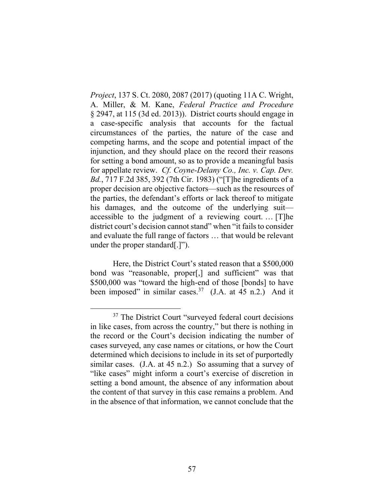*Project*, 137 S. Ct. 2080, 2087 (2017) (quoting 11A C. Wright, A. Miller, & M. Kane, *Federal Practice and Procedure* § 2947, at 115 (3d ed. 2013)). District courts should engage in a case-specific analysis that accounts for the factual circumstances of the parties, the nature of the case and competing harms, and the scope and potential impact of the injunction, and they should place on the record their reasons for setting a bond amount, so as to provide a meaningful basis for appellate review. *Cf. Coyne-Delany Co., Inc. v. Cap. Dev. Bd.*, 717 F.2d 385, 392 (7th Cir. 1983) ("[T]he ingredients of a proper decision are objective factors—such as the resources of the parties, the defendant's efforts or lack thereof to mitigate his damages, and the outcome of the underlying suit accessible to the judgment of a reviewing court. … [T]he district court's decision cannot stand" when "it fails to consider and evaluate the full range of factors … that would be relevant under the proper standard[.]").

Here, the District Court's stated reason that a \$500,000 bond was "reasonable, proper[,] and sufficient" was that \$500,000 was "toward the high-end of those [bonds] to have been imposed" in similar cases.<sup>37</sup> (J.A. at 45 n.2.) And it

<sup>&</sup>lt;sup>37</sup> The District Court "surveyed federal court decisions" in like cases, from across the country," but there is nothing in the record or the Court's decision indicating the number of cases surveyed, any case names or citations, or how the Court determined which decisions to include in its set of purportedly similar cases. (J.A. at 45 n.2.) So assuming that a survey of "like cases" might inform a court's exercise of discretion in setting a bond amount, the absence of any information about the content of that survey in this case remains a problem. And in the absence of that information, we cannot conclude that the